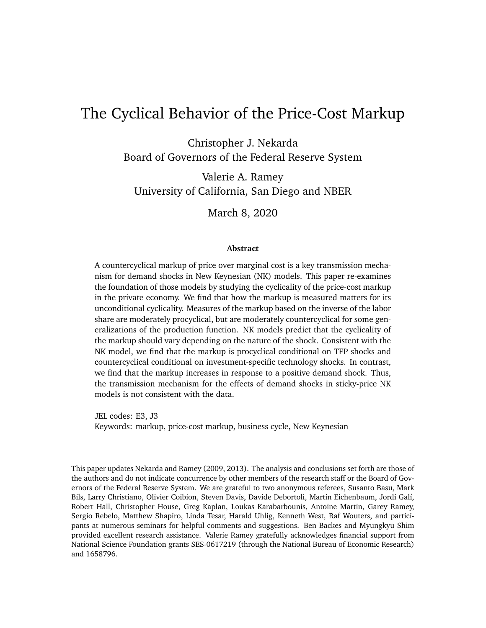# The Cyclical Behavior of the Price-Cost Markup

Christopher J. Nekarda Board of Governors of the Federal Reserve System

Valerie A. Ramey University of California, San Diego and NBER

March 8, 2020

#### **Abstract**

A countercyclical markup of price over marginal cost is a key transmission mechanism for demand shocks in New Keynesian (NK) models. This paper re-examines the foundation of those models by studying the cyclicality of the price-cost markup in the private economy. We find that how the markup is measured matters for its unconditional cyclicality. Measures of the markup based on the inverse of the labor share are moderately procyclical, but are moderately countercyclical for some generalizations of the production function. NK models predict that the cyclicality of the markup should vary depending on the nature of the shock. Consistent with the NK model, we find that the markup is procyclical conditional on TFP shocks and countercyclical conditional on investment-specific technology shocks. In contrast, we find that the markup increases in response to a positive demand shock. Thus, the transmission mechanism for the effects of demand shocks in sticky-price NK models is not consistent with the data.

JEL codes: E3, J3 Keywords: markup, price-cost markup, business cycle, New Keynesian

This paper updates [Nekarda and Ramey](#page-39-0) [\(2009,](#page-39-0) [2013\)](#page-39-1). The analysis and conclusions set forth are those of the authors and do not indicate concurrence by other members of the research staff or the Board of Governors of the Federal Reserve System. We are grateful to two anonymous referees, Susanto Basu, Mark Bils, Larry Christiano, Olivier Coibion, Steven Davis, Davide Debortoli, Martin Eichenbaum, Jordi Galí, Robert Hall, Christopher House, Greg Kaplan, Loukas Karabarbounis, Antoine Martin, Garey Ramey, Sergio Rebelo, Matthew Shapiro, Linda Tesar, Harald Uhlig, Kenneth West, Raf Wouters, and participants at numerous seminars for helpful comments and suggestions. Ben Backes and Myungkyu Shim provided excellent research assistance. Valerie Ramey gratefully acknowledges financial support from National Science Foundation grants SES-0617219 (through the National Bureau of Economic Research) and 1658796.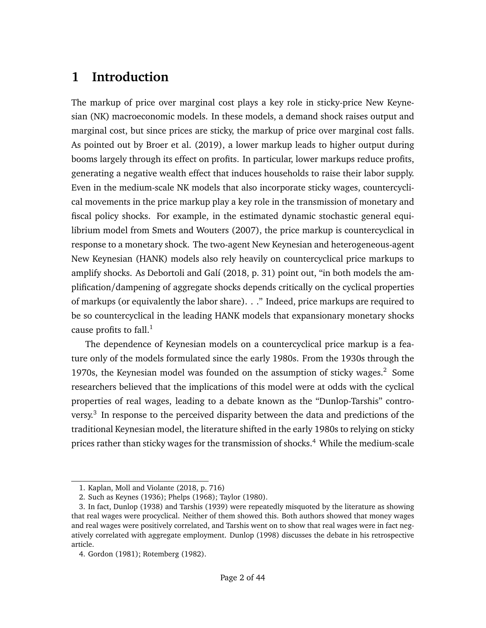# **1 Introduction**

The markup of price over marginal cost plays a key role in sticky-price New Keynesian (NK) macroeconomic models. In these models, a demand shock raises output and marginal cost, but since prices are sticky, the markup of price over marginal cost falls. As pointed out by [Broer et al.](#page-36-0) [\(2019\)](#page-36-0), a lower markup leads to higher output during booms largely through its effect on profits. In particular, lower markups reduce profits, generating a negative wealth effect that induces households to raise their labor supply. Even in the medium-scale NK models that also incorporate sticky wages, countercyclical movements in the price markup play a key role in the transmission of monetary and fiscal policy shocks. For example, in the estimated dynamic stochastic general equilibrium model from [Smets and Wouters](#page-40-0) [\(2007\)](#page-40-0), the price markup is countercyclical in response to a monetary shock. The two-agent New Keynesian and heterogeneous-agent New Keynesian (HANK) models also rely heavily on countercyclical price markups to amplify shocks. As [Debortoli and Galí](#page-36-1) [\(2018,](#page-36-1) p. 31) point out, "in both models the amplification/dampening of aggregate shocks depends critically on the cyclical properties of markups (or equivalently the labor share). . ." Indeed, price markups are required to be so countercyclical in the leading HANK models that expansionary monetary shocks cause profits to fall. $<sup>1</sup>$  $<sup>1</sup>$  $<sup>1</sup>$ </sup>

The dependence of Keynesian models on a countercyclical price markup is a feature only of the models formulated since the early 1980s. From the 1930s through the 1970s, the Keynesian model was founded on the assumption of sticky wages. $2$  Some researchers believed that the implications of this model were at odds with the cyclical properties of real wages, leading to a debate known as the "Dunlop-Tarshis" contro-versy.<sup>[3](#page-1-2)</sup> In response to the perceived disparity between the data and predictions of the traditional Keynesian model, the literature shifted in the early 1980s to relying on sticky prices rather than sticky wages for the transmission of shocks.<sup>[4](#page-1-3)</sup> While the medium-scale

<span id="page-1-0"></span><sup>1.</sup> [Kaplan, Moll and Violante](#page-38-0) [\(2018,](#page-38-0) p. 716)

<span id="page-1-2"></span><span id="page-1-1"></span><sup>2.</sup> Such as [Keynes](#page-38-1) [\(1936\)](#page-38-1); [Phelps](#page-39-2) [\(1968\)](#page-39-2); [Taylor](#page-40-1) [\(1980\)](#page-40-1).

<sup>3.</sup> In fact, [Dunlop](#page-36-2) [\(1938\)](#page-36-2) and [Tarshis](#page-40-2) [\(1939\)](#page-40-2) were repeatedly misquoted by the literature as showing that real wages were procyclical. Neither of them showed this. Both authors showed that money wages and real wages were positively correlated, and Tarshis went on to show that real wages were in fact negatively correlated with aggregate employment. [Dunlop](#page-37-0) [\(1998\)](#page-37-0) discusses the debate in his retrospective article.

<span id="page-1-3"></span><sup>4.</sup> [Gordon](#page-37-1) [\(1981\)](#page-37-1); [Rotemberg](#page-40-3) [\(1982\)](#page-40-3).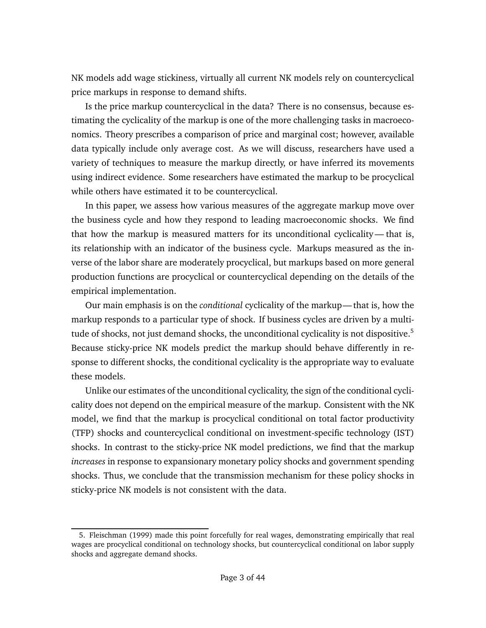NK models add wage stickiness, virtually all current NK models rely on countercyclical price markups in response to demand shifts.

Is the price markup countercyclical in the data? There is no consensus, because estimating the cyclicality of the markup is one of the more challenging tasks in macroeconomics. Theory prescribes a comparison of price and marginal cost; however, available data typically include only average cost. As we will discuss, researchers have used a variety of techniques to measure the markup directly, or have inferred its movements using indirect evidence. Some researchers have estimated the markup to be procyclical while others have estimated it to be countercyclical.

In this paper, we assess how various measures of the aggregate markup move over the business cycle and how they respond to leading macroeconomic shocks. We find that how the markup is measured matters for its unconditional cyclicality — that is, its relationship with an indicator of the business cycle. Markups measured as the inverse of the labor share are moderately procyclical, but markups based on more general production functions are procyclical or countercyclical depending on the details of the empirical implementation.

Our main emphasis is on the *conditional* cyclicality of the markup— that is, how the markup responds to a particular type of shock. If business cycles are driven by a multi-tude of shocks, not just demand shocks, the unconditional cyclicality is not dispositive.<sup>[5](#page-2-0)</sup> Because sticky-price NK models predict the markup should behave differently in response to different shocks, the conditional cyclicality is the appropriate way to evaluate these models.

Unlike our estimates of the unconditional cyclicality, the sign of the conditional cyclicality does not depend on the empirical measure of the markup. Consistent with the NK model, we find that the markup is procyclical conditional on total factor productivity (TFP) shocks and countercyclical conditional on investment-specific technology (IST) shocks. In contrast to the sticky-price NK model predictions, we find that the markup *increases* in response to expansionary monetary policy shocks and government spending shocks. Thus, we conclude that the transmission mechanism for these policy shocks in sticky-price NK models is not consistent with the data.

<span id="page-2-0"></span><sup>5.</sup> [Fleischman](#page-37-2) [\(1999\)](#page-37-2) made this point forcefully for real wages, demonstrating empirically that real wages are procyclical conditional on technology shocks, but countercyclical conditional on labor supply shocks and aggregate demand shocks.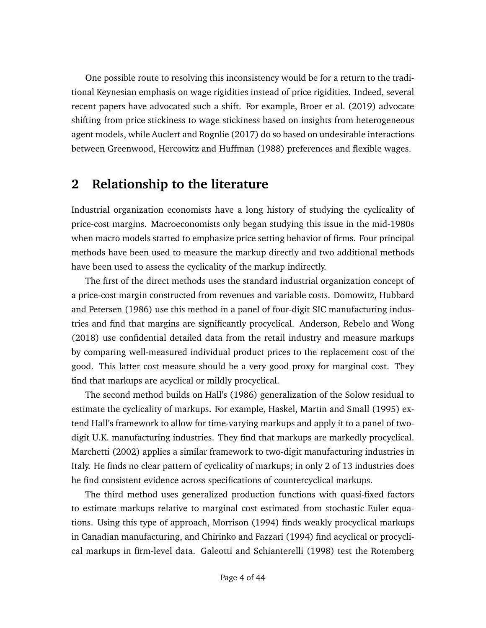One possible route to resolving this inconsistency would be for a return to the traditional Keynesian emphasis on wage rigidities instead of price rigidities. Indeed, several recent papers have advocated such a shift. For example, [Broer et al.](#page-36-0) [\(2019\)](#page-36-0) advocate shifting from price stickiness to wage stickiness based on insights from heterogeneous agent models, while [Auclert and Rognlie](#page-35-0) [\(2017\)](#page-35-0) do so based on undesirable interactions between [Greenwood, Hercowitz and Huffman](#page-37-3) [\(1988\)](#page-37-3) preferences and flexible wages.

### **2 Relationship to the literature**

Industrial organization economists have a long history of studying the cyclicality of price-cost margins. Macroeconomists only began studying this issue in the mid-1980s when macro models started to emphasize price setting behavior of firms. Four principal methods have been used to measure the markup directly and two additional methods have been used to assess the cyclicality of the markup indirectly.

The first of the direct methods uses the standard industrial organization concept of a price-cost margin constructed from revenues and variable costs. [Domowitz, Hubbard](#page-36-3) [and Petersen](#page-36-3) [\(1986\)](#page-36-3) use this method in a panel of four-digit SIC manufacturing industries and find that margins are significantly procyclical. [Anderson, Rebelo and Wong](#page-35-1) [\(2018\)](#page-35-1) use confidential detailed data from the retail industry and measure markups by comparing well-measured individual product prices to the replacement cost of the good. This latter cost measure should be a very good proxy for marginal cost. They find that markups are acyclical or mildly procyclical.

The second method builds on [Hall'](#page-38-2)s [\(1986\)](#page-38-2) generalization of the Solow residual to estimate the cyclicality of markups. For example, [Haskel, Martin and Small](#page-38-3) [\(1995\)](#page-38-3) extend Hall's framework to allow for time-varying markups and apply it to a panel of twodigit U.K. manufacturing industries. They find that markups are markedly procyclical. [Marchetti](#page-39-3) [\(2002\)](#page-39-3) applies a similar framework to two-digit manufacturing industries in Italy. He finds no clear pattern of cyclicality of markups; in only 2 of 13 industries does he find consistent evidence across specifications of countercyclical markups.

The third method uses generalized production functions with quasi-fixed factors to estimate markups relative to marginal cost estimated from stochastic Euler equations. Using this type of approach, [Morrison](#page-39-4) [\(1994\)](#page-39-4) finds weakly procyclical markups in Canadian manufacturing, and [Chirinko and Fazzari](#page-36-4) [\(1994\)](#page-36-4) find acyclical or procyclical markups in firm-level data. [Galeotti and Schianterelli](#page-37-4) [\(1998\)](#page-37-4) test the [Rotemberg](#page-40-4)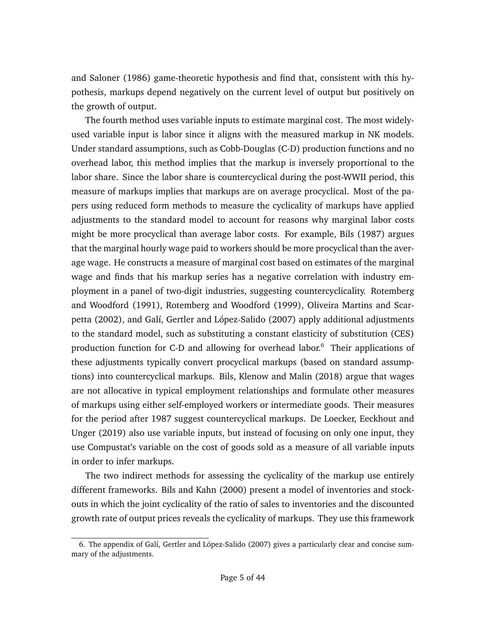[and Saloner](#page-40-4) [\(1986\)](#page-40-4) game-theoretic hypothesis and find that, consistent with this hypothesis, markups depend negatively on the current level of output but positively on the growth of output.

The fourth method uses variable inputs to estimate marginal cost. The most widelyused variable input is labor since it aligns with the measured markup in NK models. Under standard assumptions, such as Cobb-Douglas (C-D) production functions and no overhead labor, this method implies that the markup is inversely proportional to the labor share. Since the labor share is countercyclical during the post-WWII period, this measure of markups implies that markups are on average procyclical. Most of the papers using reduced form methods to measure the cyclicality of markups have applied adjustments to the standard model to account for reasons why marginal labor costs might be more procyclical than average labor costs. For example, [Bils](#page-35-2) [\(1987\)](#page-35-2) argues that the marginal hourly wage paid to workers should be more procyclical than the average wage. He constructs a measure of marginal cost based on estimates of the marginal wage and finds that his markup series has a negative correlation with industry employment in a panel of two-digit industries, suggesting countercyclicality. [Rotemberg](#page-40-5) [and Woodford](#page-40-5) [\(1991\)](#page-40-5), [Rotemberg and Woodford](#page-40-6) [\(1999\)](#page-40-6), [Oliveira Martins and Scar](#page-39-5)[petta](#page-39-5) [\(2002\)](#page-39-5), and [Galí, Gertler and López-Salido](#page-37-5) [\(2007\)](#page-37-5) apply additional adjustments to the standard model, such as substituting a constant elasticity of substitution (CES) production function for C-D and allowing for overhead labor.<sup>[6](#page-4-0)</sup> Their applications of these adjustments typically convert procyclical markups (based on standard assumptions) into countercyclical markups. [Bils, Klenow and Malin](#page-35-3) [\(2018\)](#page-35-3) argue that wages are not allocative in typical employment relationships and formulate other measures of markups using either self-employed workers or intermediate goods. Their measures for the period after 1987 suggest countercyclical markups. [De Loecker, Eeckhout and](#page-36-5) [Unger](#page-36-5) [\(2019\)](#page-36-5) also use variable inputs, but instead of focusing on only one input, they use Compustat's variable on the cost of goods sold as a measure of all variable inputs in order to infer markups.

The two indirect methods for assessing the cyclicality of the markup use entirely different frameworks. [Bils and Kahn](#page-35-4) [\(2000\)](#page-35-4) present a model of inventories and stockouts in which the joint cyclicality of the ratio of sales to inventories and the discounted growth rate of output prices reveals the cyclicality of markups. They use this framework

<span id="page-4-0"></span><sup>6.</sup> The appendix of [Galí, Gertler and López-Salido](#page-37-5) [\(2007\)](#page-37-5) gives a particularly clear and concise summary of the adjustments.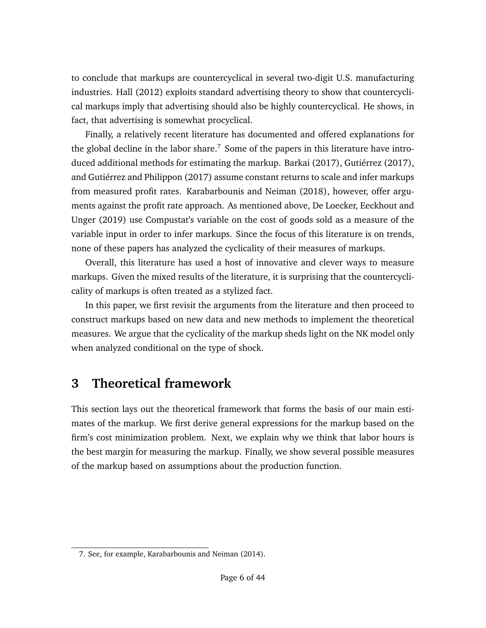to conclude that markups are countercyclical in several two-digit U.S. manufacturing industries. [Hall](#page-38-4) [\(2012\)](#page-38-4) exploits standard advertising theory to show that countercyclical markups imply that advertising should also be highly countercyclical. He shows, in fact, that advertising is somewhat procyclical.

Finally, a relatively recent literature has documented and offered explanations for the global decline in the labor share.<sup>[7](#page-5-0)</sup> Some of the papers in this literature have introduced additional methods for estimating the markup. [Barkai](#page-35-5) [\(2017\)](#page-35-5), [Gutiérrez](#page-37-6) [\(2017\)](#page-37-6), and [Gutiérrez and Philippon](#page-38-5) [\(2017\)](#page-38-5) assume constant returns to scale and infer markups from measured profit rates. [Karabarbounis and Neiman](#page-38-6) [\(2018\)](#page-38-6), however, offer arguments against the profit rate approach. As mentioned above, [De Loecker, Eeckhout and](#page-36-5) [Unger](#page-36-5) [\(2019\)](#page-36-5) use Compustat's variable on the cost of goods sold as a measure of the variable input in order to infer markups. Since the focus of this literature is on trends, none of these papers has analyzed the cyclicality of their measures of markups.

Overall, this literature has used a host of innovative and clever ways to measure markups. Given the mixed results of the literature, it is surprising that the countercyclicality of markups is often treated as a stylized fact.

In this paper, we first revisit the arguments from the literature and then proceed to construct markups based on new data and new methods to implement the theoretical measures. We argue that the cyclicality of the markup sheds light on the NK model only when analyzed conditional on the type of shock.

# <span id="page-5-1"></span>**3 Theoretical framework**

This section lays out the theoretical framework that forms the basis of our main estimates of the markup. We first derive general expressions for the markup based on the firm's cost minimization problem. Next, we explain why we think that labor hours is the best margin for measuring the markup. Finally, we show several possible measures of the markup based on assumptions about the production function.

<span id="page-5-0"></span><sup>7.</sup> See, for example, [Karabarbounis and Neiman](#page-38-7) [\(2014\)](#page-38-7).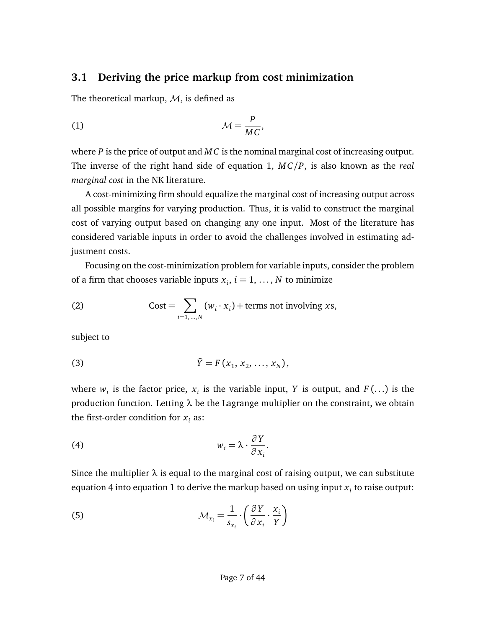#### **3.1 Deriving the price markup from cost minimization**

The theoretical markup,  $M$ , is defined as

<span id="page-6-0"></span>(1) M = *P M C* ,

where *P* is the price of output and *M C* is the nominal marginal cost of increasing output. The inverse of the right hand side of equation [1,](#page-6-0) *M C/P*, is also known as the *real marginal cost* in the NK literature.

A cost-minimizing firm should equalize the marginal cost of increasing output across all possible margins for varying production. Thus, it is valid to construct the marginal cost of varying output based on changing any one input. Most of the literature has considered variable inputs in order to avoid the challenges involved in estimating adjustment costs.

Focusing on the cost-minimization problem for variable inputs, consider the problem of a firm that chooses variable inputs  $x_i$ ,  $i = 1, ..., N$  to minimize

(2) 
$$
\text{Cost} = \sum_{i=1,\dots,N} (w_i \cdot x_i) + \text{terms not involving } xs,
$$

subject to

(3) 
$$
\bar{Y} = F(x_1, x_2, ..., x_N),
$$

where  $w_i$  is the factor price,  $x_i$  is the variable input, *Y* is output, and *F* (...) is the production function. Letting *λ* be the Lagrange multiplier on the constraint, we obtain the first-order condition for  $x_i$  as:

<span id="page-6-1"></span>(4) 
$$
w_i = \lambda \cdot \frac{\partial Y}{\partial x_i}.
$$

Since the multiplier  $\lambda$  is equal to the marginal cost of raising output, we can substitute equation [4](#page-6-1) into equation [1](#page-6-0) to derive the markup based on using input  $x_i$  to raise output:

<span id="page-6-2"></span>(5) 
$$
\mathcal{M}_{x_i} = \frac{1}{s_{x_i}} \cdot \left(\frac{\partial Y}{\partial x_i} \cdot \frac{x_i}{Y}\right)
$$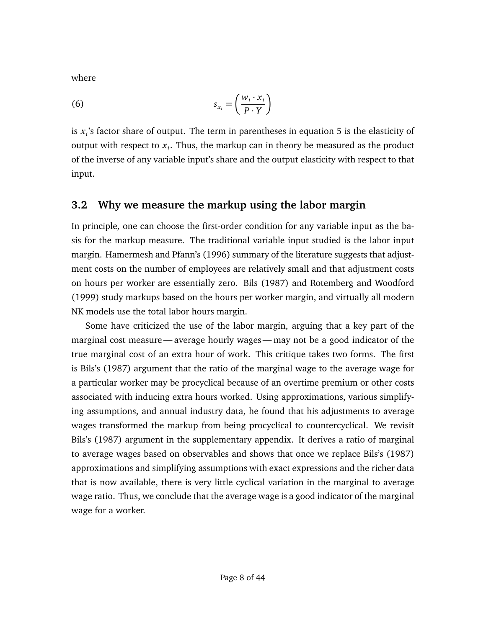where

$$
s_{x_i} = \left(\frac{w_i \cdot x_i}{P \cdot Y}\right)
$$

is *x<sup>i</sup>* 's factor share of output. The term in parentheses in equation [5](#page-6-2) is the elasticity of output with respect to *x<sup>i</sup>* . Thus, the markup can in theory be measured as the product of the inverse of any variable input's share and the output elasticity with respect to that input.

#### **3.2 Why we measure the markup using the labor margin**

In principle, one can choose the first-order condition for any variable input as the basis for the markup measure. The traditional variable input studied is the labor input margin. [Hamermesh and Pfann'](#page-38-8)s [\(1996\)](#page-38-8) summary of the literature suggests that adjustment costs on the number of employees are relatively small and that adjustment costs on hours per worker are essentially zero. [Bils](#page-35-2) [\(1987\)](#page-35-2) and [Rotemberg and Woodford](#page-40-6) [\(1999\)](#page-40-6) study markups based on the hours per worker margin, and virtually all modern NK models use the total labor hours margin.

Some have criticized the use of the labor margin, arguing that a key part of the marginal cost measure— average hourly wages— may not be a good indicator of the true marginal cost of an extra hour of work. This critique takes two forms. The first is [Bils'](#page-35-2)s [\(1987\)](#page-35-2) argument that the ratio of the marginal wage to the average wage for a particular worker may be procyclical because of an overtime premium or other costs associated with inducing extra hours worked. Using approximations, various simplifying assumptions, and annual industry data, he found that his adjustments to average wages transformed the markup from being procyclical to countercyclical. We revisit [Bils'](#page-35-2)s [\(1987\)](#page-35-2) argument in the [supplementary appendix.](https://chrisnekarda.com/papers/markupcyc_appendix.pdf) It derives a ratio of marginal to average wages based on observables and shows that once we replace [Bils'](#page-35-2)s [\(1987\)](#page-35-2) approximations and simplifying assumptions with exact expressions and the richer data that is now available, there is very little cyclical variation in the marginal to average wage ratio. Thus, we conclude that the average wage is a good indicator of the marginal wage for a worker.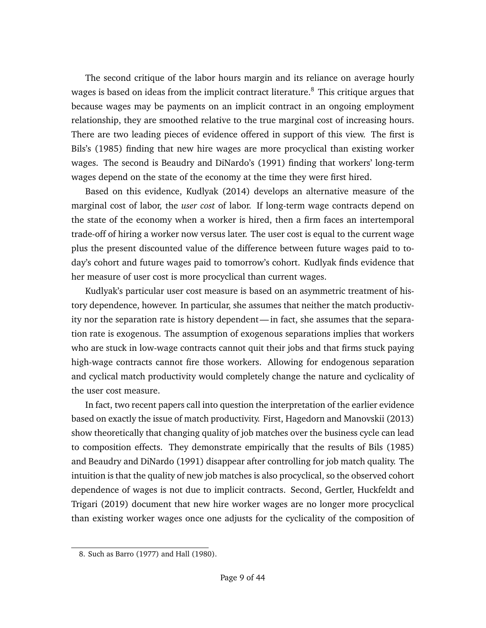The second critique of the labor hours margin and its reliance on average hourly wages is based on ideas from the implicit contract literature.<sup>[8](#page-8-0)</sup> This critique argues that because wages may be payments on an implicit contract in an ongoing employment relationship, they are smoothed relative to the true marginal cost of increasing hours. There are two leading pieces of evidence offered in support of this view. The first is [Bils'](#page-35-6)s [\(1985\)](#page-35-6) finding that new hire wages are more procyclical than existing worker wages. The second is [Beaudry and DiNardo'](#page-35-7)s [\(1991\)](#page-35-7) finding that workers' long-term wages depend on the state of the economy at the time they were first hired.

Based on this evidence, [Kudlyak](#page-38-9) [\(2014\)](#page-38-9) develops an alternative measure of the marginal cost of labor, the *user cost* of labor. If long-term wage contracts depend on the state of the economy when a worker is hired, then a firm faces an intertemporal trade-off of hiring a worker now versus later. The user cost is equal to the current wage plus the present discounted value of the difference between future wages paid to today's cohort and future wages paid to tomorrow's cohort. Kudlyak finds evidence that her measure of user cost is more procyclical than current wages.

Kudlyak's particular user cost measure is based on an asymmetric treatment of history dependence, however. In particular, she assumes that neither the match productivity nor the separation rate is history dependent— in fact, she assumes that the separation rate is exogenous. The assumption of exogenous separations implies that workers who are stuck in low-wage contracts cannot quit their jobs and that firms stuck paying high-wage contracts cannot fire those workers. Allowing for endogenous separation and cyclical match productivity would completely change the nature and cyclicality of the user cost measure.

In fact, two recent papers call into question the interpretation of the earlier evidence based on exactly the issue of match productivity. First, [Hagedorn and Manovskii](#page-38-10) [\(2013\)](#page-38-10) show theoretically that changing quality of job matches over the business cycle can lead to composition effects. They demonstrate empirically that the results of [Bils](#page-35-6) [\(1985\)](#page-35-6) and [Beaudry and DiNardo](#page-35-7) [\(1991\)](#page-35-7) disappear after controlling for job match quality. The intuition is that the quality of new job matches is also procyclical, so the observed cohort dependence of wages is not due to implicit contracts. Second, [Gertler, Huckfeldt and](#page-37-7) [Trigari](#page-37-7) [\(2019\)](#page-37-7) document that new hire worker wages are no longer more procyclical than existing worker wages once one adjusts for the cyclicality of the composition of

<span id="page-8-0"></span><sup>8.</sup> Such as [Barro](#page-35-8) [\(1977\)](#page-35-8) and [Hall](#page-38-11) [\(1980\)](#page-38-11).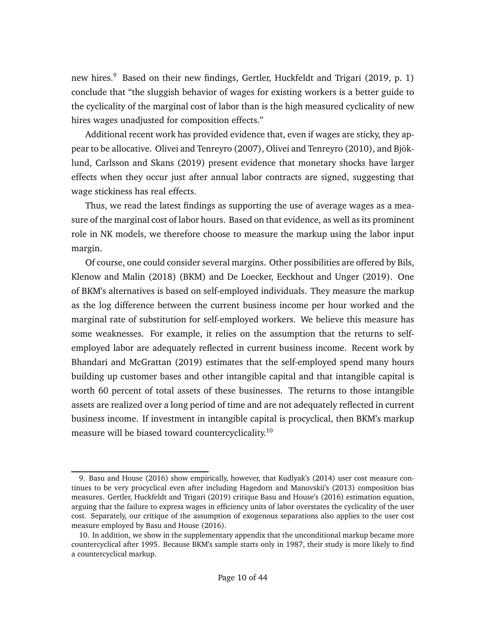new hires.<sup>[9](#page-9-0)</sup> Based on their new findings, [Gertler, Huckfeldt and Trigari](#page-37-7) [\(2019,](#page-37-7) p. 1) conclude that "the sluggish behavior of wages for existing workers is a better guide to the cyclicality of the marginal cost of labor than is the high measured cyclicality of new hires wages unadjusted for composition effects."

Additional recent work has provided evidence that, even if wages are sticky, they appear to be allocative. [Olivei and Tenreyro](#page-39-6) [\(2007\)](#page-39-6), [Olivei and Tenreyro](#page-39-7) [\(2010\)](#page-39-7), and [Bjök](#page-35-9)[lund, Carlsson and Skans](#page-35-9) [\(2019\)](#page-35-9) present evidence that monetary shocks have larger effects when they occur just after annual labor contracts are signed, suggesting that wage stickiness has real effects.

Thus, we read the latest findings as supporting the use of average wages as a measure of the marginal cost of labor hours. Based on that evidence, as well as its prominent role in NK models, we therefore choose to measure the markup using the labor input margin.

Of course, one could consider several margins. Other possibilities are offered by [Bils,](#page-35-3) [Klenow and Malin](#page-35-3) [\(2018\)](#page-35-3) (BKM) and [De Loecker, Eeckhout and Unger](#page-36-5) [\(2019\)](#page-36-5). One of BKM's alternatives is based on self-employed individuals. They measure the markup as the log difference between the current business income per hour worked and the marginal rate of substitution for self-employed workers. We believe this measure has some weaknesses. For example, it relies on the assumption that the returns to selfemployed labor are adequately reflected in current business income. Recent work by [Bhandari and McGrattan](#page-35-10) [\(2019\)](#page-35-10) estimates that the self-employed spend many hours building up customer bases and other intangible capital and that intangible capital is worth 60 percent of total assets of these businesses. The returns to those intangible assets are realized over a long period of time and are not adequately reflected in current business income. If investment in intangible capital is procyclical, then BKM's markup measure will be biased toward countercyclicality.<sup>[10](#page-9-1)</sup>

<span id="page-9-0"></span><sup>9.</sup> [Basu and House](#page-35-11) [\(2016\)](#page-35-11) show empirically, however, that [Kudlyak'](#page-38-9)s [\(2014\)](#page-38-9) user cost measure continues to be very procyclical even after including [Hagedorn and Manovskii'](#page-38-10)s [\(2013\)](#page-38-10) composition bias measures. [Gertler, Huckfeldt and Trigari](#page-37-7) [\(2019\)](#page-37-7) critique [Basu and House'](#page-35-11)s [\(2016\)](#page-35-11) estimation equation, arguing that the failure to express wages in efficiency units of labor overstates the cyclicality of the user cost. Separately, our critique of the assumption of exogenous separations also applies to the user cost measure employed by [Basu and House](#page-35-11) [\(2016\)](#page-35-11).

<span id="page-9-1"></span><sup>10.</sup> In addition, we show in the [supplementary appendix](https://chrisnekarda.com/papers/markupcyc_appendix.pdf) that the unconditional markup became more countercyclical after 1995. Because BKM's sample starts only in 1987, their study is more likely to find a countercyclical markup.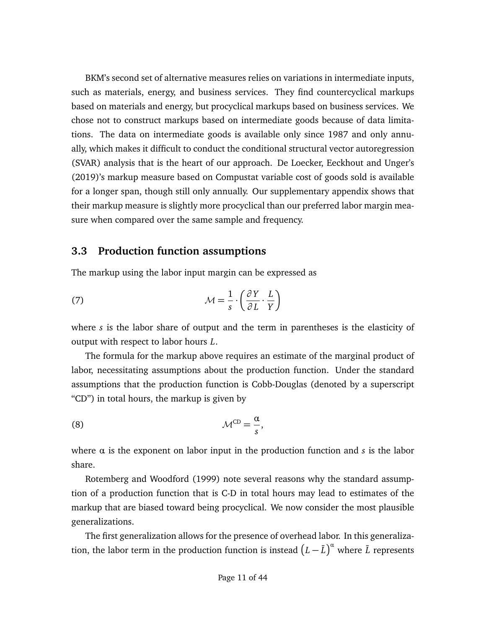BKM's second set of alternative measures relies on variations in intermediate inputs, such as materials, energy, and business services. They find countercyclical markups based on materials and energy, but procyclical markups based on business services. We chose not to construct markups based on intermediate goods because of data limitations. The data on intermediate goods is available only since 1987 and only annually, which makes it difficult to conduct the conditional structural vector autoregression (SVAR) analysis that is the heart of our approach. [De Loecker, Eeckhout and Unger'](#page-36-5)s [\(2019\)](#page-36-5)'s markup measure based on Compustat variable cost of goods sold is available for a longer span, though still only annually. Our [supplementary appendix](https://chrisnekarda.com/papers/markupcyc_appendix.pdf) shows that their markup measure is slightly more procyclical than our preferred labor margin measure when compared over the same sample and frequency.

#### **3.3 Production function assumptions**

The markup using the labor input margin can be expressed as

<span id="page-10-0"></span>(7) 
$$
\mathcal{M} = \frac{1}{s} \cdot \left( \frac{\partial Y}{\partial L} \cdot \frac{L}{Y} \right)
$$

where *s* is the labor share of output and the term in parentheses is the elasticity of output with respect to labor hours *L*.

The formula for the markup above requires an estimate of the marginal product of labor, necessitating assumptions about the production function. Under the standard assumptions that the production function is Cobb-Douglas (denoted by a superscript "CD") in total hours, the markup is given by

<span id="page-10-1"></span>(8) MCD = *α s* ,

where  $\alpha$  is the exponent on labor input in the production function and  $s$  is the labor share.

[Rotemberg and Woodford](#page-40-6) [\(1999\)](#page-40-6) note several reasons why the standard assumption of a production function that is C-D in total hours may lead to estimates of the markup that are biased toward being procyclical. We now consider the most plausible generalizations.

The first generalization allows for the presence of overhead labor. In this generalization, the labor term in the production function is instead  $\left(L-\bar L\right)^\alpha$  where  $\bar L$  represents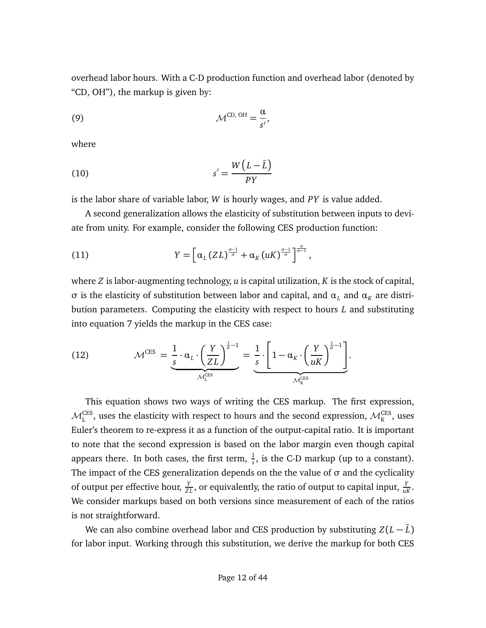overhead labor hours. With a C-D production function and overhead labor (denoted by "CD, OH"), the markup is given by:

<span id="page-11-0"></span>
$$
\mathcal{M}^{\text{CD, OH}} = \frac{\alpha}{s'},
$$

where

$$
s' = \frac{W(L-\bar{L})}{PY}
$$

is the labor share of variable labor, *W* is hourly wages, and *PY* is value added.

A second generalization allows the elasticity of substitution between inputs to deviate from unity. For example, consider the following CES production function:

(11) 
$$
Y = \left[\alpha_L (ZL)^{\frac{\sigma-1}{\sigma}} + \alpha_K (uK)^{\frac{\sigma-1}{\sigma}}\right]^{\frac{\sigma}{\sigma-1}},
$$

where *Z* is labor-augmenting technology, *u* is capital utilization, *K* is the stock of capital, *σ* is the elasticity of substitution between labor and capital, and  $\alpha_L$  and  $\alpha_K$  are distribution parameters. Computing the elasticity with respect to hours *L* and substituting into equation [7](#page-10-0) yields the markup in the CES case:

<span id="page-11-1"></span>(12) 
$$
\mathcal{M}^{\text{CES}} = \underbrace{\frac{1}{s} \cdot \alpha_L \cdot \left(\frac{Y}{ZL}\right)^{\frac{1}{\sigma}-1}}_{\mathcal{M}_L^{\text{CES}}} = \underbrace{\frac{1}{s} \cdot \left[1 - \alpha_K \cdot \left(\frac{Y}{uK}\right)^{\frac{1}{\sigma}-1}\right]}_{\mathcal{M}_K^{\text{CES}}}.
$$

This equation shows two ways of writing the CES markup. The first expression,  $\mathcal{M}^{\text{CES}}_{\text{L}}$  , uses the elasticity with respect to hours and the second expression,  $\mathcal{M}^{\text{CES}}_{\text{K}}$  , uses Euler's theorem to re-express it as a function of the output-capital ratio. It is important to note that the second expression is based on the labor margin even though capital appears there. In both cases, the first term,  $\frac{1}{s}$ , is the C-D markup (up to a constant). The impact of the CES generalization depends on the the value of *σ* and the cyclicality of output per effective hour,  $\frac{Y}{Z L}$ , or equivalently, the ratio of output to capital input,  $\frac{Y}{uK}$ . We consider markups based on both versions since measurement of each of the ratios is not straightforward.

We can also combine overhead labor and CES production by substituting  $Z(L-\overline{L})$ for labor input. Working through this substitution, we derive the markup for both CES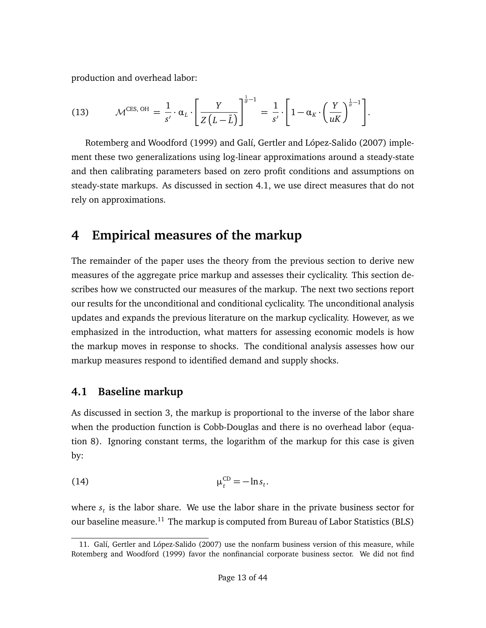production and overhead labor:

(13) 
$$
\mathcal{M}^{\text{CES, OH}} = \frac{1}{s'} \cdot \alpha_L \cdot \left[ \frac{Y}{Z(L-\bar{L})} \right]^{\frac{1}{\sigma}-1} = \frac{1}{s'} \cdot \left[ 1 - \alpha_K \cdot \left( \frac{Y}{uK} \right)^{\frac{1}{\sigma}-1} \right].
$$

[Rotemberg and Woodford](#page-40-6) [\(1999\)](#page-40-6) and [Galí, Gertler and López-Salido](#page-37-5) [\(2007\)](#page-37-5) implement these two generalizations using log-linear approximations around a steady-state and then calibrating parameters based on zero profit conditions and assumptions on steady-state markups. As discussed in section [4.1,](#page-12-0) we use direct measures that do not rely on approximations.

### **4 Empirical measures of the markup**

The remainder of the paper uses the theory from the previous section to derive new measures of the aggregate price markup and assesses their cyclicality. This section describes how we constructed our measures of the markup. The next two sections report our results for the unconditional and conditional cyclicality. The unconditional analysis updates and expands the previous literature on the markup cyclicality. However, as we emphasized in the introduction, what matters for assessing economic models is how the markup moves in response to shocks. The conditional analysis assesses how our markup measures respond to identified demand and supply shocks.

#### <span id="page-12-0"></span>**4.1 Baseline markup**

As discussed in section [3,](#page-5-1) the markup is proportional to the inverse of the labor share when the production function is Cobb-Douglas and there is no overhead labor (equation [8\)](#page-10-1). Ignoring constant terms, the logarithm of the markup for this case is given by:

$$
\mu_t^{\rm CD} = -\ln s_t.
$$

where *s<sup>t</sup>* is the labor share. We use the labor share in the private business sector for our baseline measure.<sup>[11](#page-12-1)</sup> The markup is computed from Bureau of Labor Statistics (BLS)

<span id="page-12-1"></span><sup>11.</sup> [Galí, Gertler and López-Salido](#page-37-5) [\(2007\)](#page-37-5) use the nonfarm business version of this measure, while [Rotemberg and Woodford](#page-40-6) [\(1999\)](#page-40-6) favor the nonfinancial corporate business sector. We did not find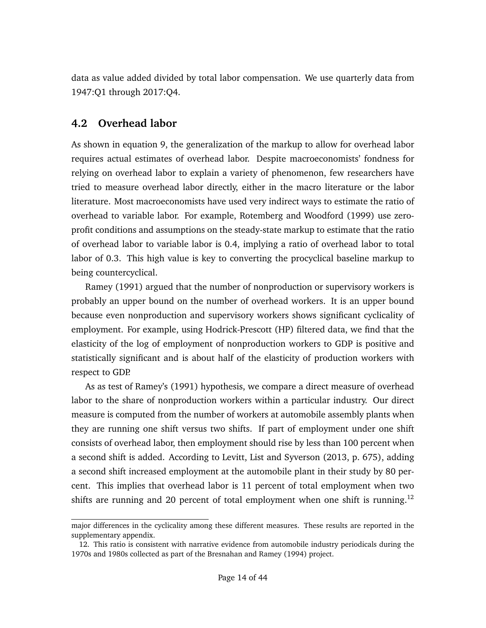data as value added divided by total labor compensation. We use quarterly data from 1947:Q1 through 2017:Q4.

### **4.2 Overhead labor**

As shown in equation [9,](#page-11-0) the generalization of the markup to allow for overhead labor requires actual estimates of overhead labor. Despite macroeconomists' fondness for relying on overhead labor to explain a variety of phenomenon, few researchers have tried to measure overhead labor directly, either in the macro literature or the labor literature. Most macroeconomists have used very indirect ways to estimate the ratio of overhead to variable labor. For example, [Rotemberg and Woodford](#page-40-6) [\(1999\)](#page-40-6) use zeroprofit conditions and assumptions on the steady-state markup to estimate that the ratio of overhead labor to variable labor is 0.4, implying a ratio of overhead labor to total labor of 0.3. This high value is key to converting the procyclical baseline markup to being countercyclical.

[Ramey](#page-39-8) [\(1991\)](#page-39-8) argued that the number of nonproduction or supervisory workers is probably an upper bound on the number of overhead workers. It is an upper bound because even nonproduction and supervisory workers shows significant cyclicality of employment. For example, using Hodrick-Prescott (HP) filtered data, we find that the elasticity of the log of employment of nonproduction workers to GDP is positive and statistically significant and is about half of the elasticity of production workers with respect to GDP.

As as test of [Ramey'](#page-39-8)s [\(1991\)](#page-39-8) hypothesis, we compare a direct measure of overhead labor to the share of nonproduction workers within a particular industry. Our direct measure is computed from the number of workers at automobile assembly plants when they are running one shift versus two shifts. If part of employment under one shift consists of overhead labor, then employment should rise by less than 100 percent when a second shift is added. According to [Levitt, List and Syverson](#page-39-9) [\(2013,](#page-39-9) p. 675), adding a second shift increased employment at the automobile plant in their study by 80 percent. This implies that overhead labor is 11 percent of total employment when two shifts are running and 20 percent of total employment when one shift is running.<sup>[12](#page-13-0)</sup>

major differences in the cyclicality among these different measures. These results are reported in the [supplementary appendix.](https://chrisnekarda.com/papers/markupcyc_appendix.pdf)

<span id="page-13-0"></span><sup>12.</sup> This ratio is consistent with narrative evidence from automobile industry periodicals during the 1970s and 1980s collected as part of the [Bresnahan and Ramey](#page-36-6) [\(1994\)](#page-36-6) project.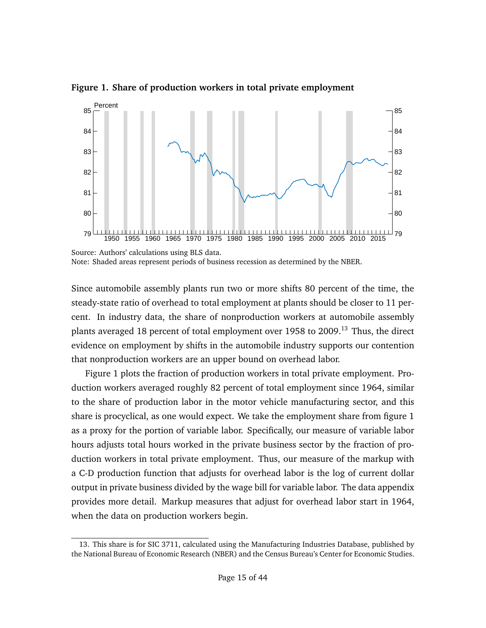

<span id="page-14-1"></span>**Figure 1. Share of production workers in total private employment**

Since automobile assembly plants run two or more shifts 80 percent of the time, the steady-state ratio of overhead to total employment at plants should be closer to 11 percent. In industry data, the share of nonproduction workers at automobile assembly plants averaged 18 percent of total employment over 1958 to 2009.<sup>[13](#page-14-0)</sup> Thus, the direct evidence on employment by shifts in the automobile industry supports our contention that nonproduction workers are an upper bound on overhead labor.

Figure [1](#page-14-1) plots the fraction of production workers in total private employment. Production workers averaged roughly 82 percent of total employment since 1964, similar to the share of production labor in the motor vehicle manufacturing sector, and this share is procyclical, as one would expect. We take the employment share from figure [1](#page-14-1) as a proxy for the portion of variable labor. Specifically, our measure of variable labor hours adjusts total hours worked in the private business sector by the fraction of production workers in total private employment. Thus, our measure of the markup with a C-D production function that adjusts for overhead labor is the log of current dollar output in private business divided by the wage bill for variable labor. The [data appendix](#page-35-12) provides more detail. Markup measures that adjust for overhead labor start in 1964, when the data on production workers begin.

Source: Authors' calculations using BLS data. Note: Shaded areas represent periods of business recession as determined by the NBER.

<span id="page-14-0"></span><sup>13.</sup> This share is for SIC 3711, calculated using the Manufacturing Industries Database, published by the National Bureau of Economic Research (NBER) and the Census Bureau's Center for Economic Studies.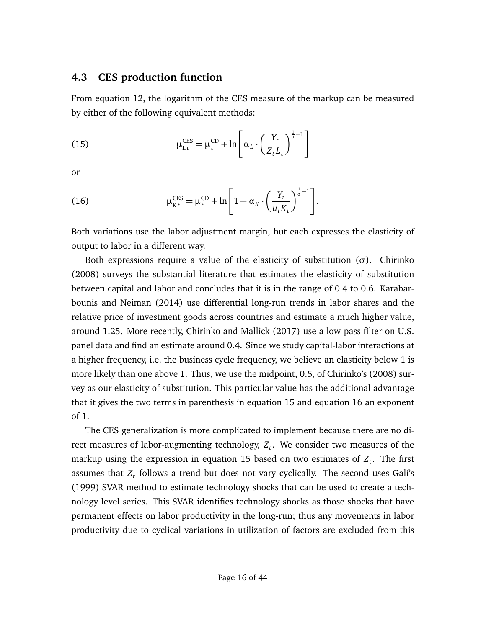#### <span id="page-15-2"></span>**4.3 CES production function**

From equation [12,](#page-11-1) the logarithm of the CES measure of the markup can be measured by either of the following equivalent methods:

<span id="page-15-0"></span>(15) 
$$
\mu_{\mathrm{L}t}^{\mathrm{CES}} = \mu_t^{\mathrm{CD}} + \ln \left[ \alpha_L \cdot \left( \frac{Y_t}{Z_t L_t} \right)^{\frac{1}{\sigma} - 1} \right]
$$

or

<span id="page-15-1"></span>(16) 
$$
\mu_{Kt}^{\text{CES}} = \mu_t^{\text{CD}} + \ln\left[1 - \alpha_K \cdot \left(\frac{Y_t}{u_t K_t}\right)^{\frac{1}{\sigma} - 1}\right].
$$

Both variations use the labor adjustment margin, but each expresses the elasticity of output to labor in a different way.

Both expressions require a value of the elasticity of substitution (*σ*). [Chirinko](#page-36-7) [\(2008\)](#page-36-7) surveys the substantial literature that estimates the elasticity of substitution between capital and labor and concludes that it is in the range of 0.4 to 0.6. [Karabar](#page-38-7)[bounis and Neiman](#page-38-7) [\(2014\)](#page-38-7) use differential long-run trends in labor shares and the relative price of investment goods across countries and estimate a much higher value, around 1.25. More recently, [Chirinko and Mallick](#page-36-8) [\(2017\)](#page-36-8) use a low-pass filter on U.S. panel data and find an estimate around 0.4. Since we study capital-labor interactions at a higher frequency, i.e. the business cycle frequency, we believe an elasticity below 1 is more likely than one above 1. Thus, we use the midpoint, 0.5, of [Chirinko'](#page-36-7)s [\(2008\)](#page-36-7) survey as our elasticity of substitution. This particular value has the additional advantage that it gives the two terms in parenthesis in equation [15](#page-15-0) and equation [16](#page-15-1) an exponent of 1.

The CES generalization is more complicated to implement because there are no direct measures of labor-augmenting technology, *Z<sup>t</sup>* . We consider two measures of the markup using the expression in equation [15](#page-15-0) based on two estimates of *Z<sup>t</sup>* . The first assumes that *Z<sup>t</sup>* follows a trend but does not vary cyclically. The second uses [Galí'](#page-37-8)s [\(1999\)](#page-37-8) SVAR method to estimate technology shocks that can be used to create a technology level series. This SVAR identifies technology shocks as those shocks that have permanent effects on labor productivity in the long-run; thus any movements in labor productivity due to cyclical variations in utilization of factors are excluded from this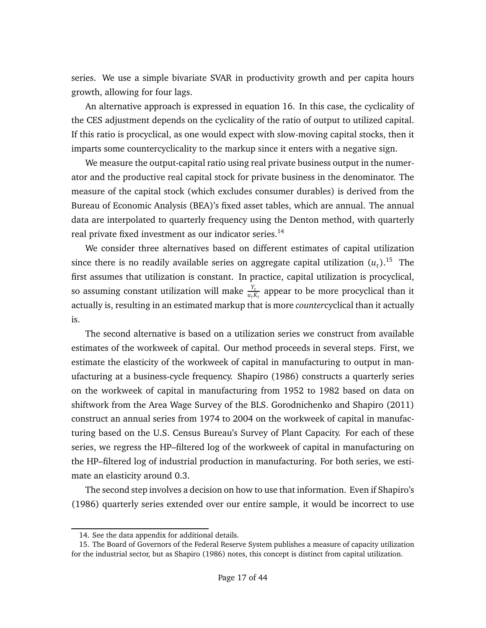series. We use a simple bivariate SVAR in productivity growth and per capita hours growth, allowing for four lags.

An alternative approach is expressed in equation [16.](#page-15-1) In this case, the cyclicality of the CES adjustment depends on the cyclicality of the ratio of output to utilized capital. If this ratio is procyclical, as one would expect with slow-moving capital stocks, then it imparts some countercyclicality to the markup since it enters with a negative sign.

We measure the output-capital ratio using real private business output in the numerator and the productive real capital stock for private business in the denominator. The measure of the capital stock (which excludes consumer durables) is derived from the Bureau of Economic Analysis (BEA)'s fixed asset tables, which are annual. The annual data are interpolated to quarterly frequency using the Denton method, with quarterly real private fixed investment as our indicator series.<sup>[14](#page-16-0)</sup>

We consider three alternatives based on different estimates of capital utilization since there is no readily available series on aggregate capital utilization  $(u_t)$ .<sup>[15](#page-16-1)</sup> The first assumes that utilization is constant. In practice, capital utilization is procyclical, so assuming constant utilization will make  $\frac{Y_t}{u_t K_t}$  appear to be more procyclical than it actually is, resulting in an estimated markup that is more *counter*cyclical than it actually is.

The second alternative is based on a utilization series we construct from available estimates of the workweek of capital. Our method proceeds in several steps. First, we estimate the elasticity of the workweek of capital in manufacturing to output in manufacturing at a business-cycle frequency. [Shapiro](#page-40-7) [\(1986\)](#page-40-7) constructs a quarterly series on the workweek of capital in manufacturing from 1952 to 1982 based on data on shiftwork from the Area Wage Survey of the BLS. [Gorodnichenko and Shapiro](#page-37-9) [\(2011\)](#page-37-9) construct an annual series from 1974 to 2004 on the workweek of capital in manufacturing based on the U.S. Census Bureau's Survey of Plant Capacity. For each of these series, we regress the HP–filtered log of the workweek of capital in manufacturing on the HP–filtered log of industrial production in manufacturing. For both series, we estimate an elasticity around 0.3.

The second step involves a decision on how to use that information. Even if [Shapiro'](#page-40-7)s [\(1986\)](#page-40-7) quarterly series extended over our entire sample, it would be incorrect to use

<span id="page-16-1"></span><span id="page-16-0"></span><sup>14.</sup> See the [data appendix](#page-35-12) for additional details.

<sup>15.</sup> The Board of Governors of the Federal Reserve System publishes a measure of capacity utilization for the industrial sector, but as [Shapiro](#page-40-7) [\(1986\)](#page-40-7) notes, this concept is distinct from capital utilization.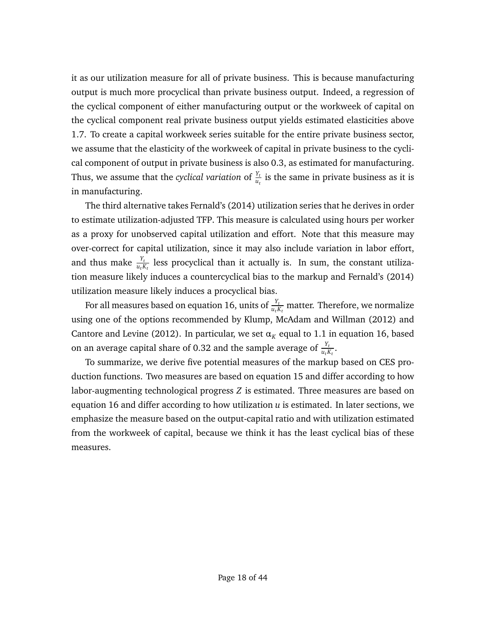it as our utilization measure for all of private business. This is because manufacturing output is much more procyclical than private business output. Indeed, a regression of the cyclical component of either manufacturing output or the workweek of capital on the cyclical component real private business output yields estimated elasticities above 1.7. To create a capital workweek series suitable for the entire private business sector, we assume that the elasticity of the workweek of capital in private business to the cyclical component of output in private business is also 0.3, as estimated for manufacturing. Thus, we assume that the *cyclical variation* of  $\frac{Y_t}{u_t}$  is the same in private business as it is in manufacturing.

The third alternative takes [Fernald'](#page-37-10)s [\(2014\)](#page-37-10) utilization series that he derives in order to estimate utilization-adjusted TFP. This measure is calculated using hours per worker as a proxy for unobserved capital utilization and effort. Note that this measure may over-correct for capital utilization, since it may also include variation in labor effort, and thus make  $\frac{Y_t}{u_t K_t}$  less procyclical than it actually is. In sum, the constant utilization measure likely induces a countercyclical bias to the markup and [Fernald'](#page-37-10)s [\(2014\)](#page-37-10) utilization measure likely induces a procyclical bias.

For all measures based on equation [16,](#page-15-1) units of  $\frac{Y_t}{u_t K_t}$  matter. Therefore, we normalize using one of the options recommended by [Klump, McAdam and Willman](#page-38-12) [\(2012\)](#page-38-12) and [Cantore and Levine](#page-36-9) [\(2012\)](#page-36-9). In particular, we set  $\alpha_K$  equal to 1.1 in equation [16,](#page-15-1) based on an average capital share of 0.32 and the sample average of  $\frac{Y_t}{u_t K_t}.$ 

To summarize, we derive five potential measures of the markup based on CES production functions. Two measures are based on equation [15](#page-15-0) and differ according to how labor-augmenting technological progress *Z* is estimated. Three measures are based on equation [16](#page-15-1) and differ according to how utilization *u* is estimated. In later sections, we emphasize the measure based on the output-capital ratio and with utilization estimated from the workweek of capital, because we think it has the least cyclical bias of these measures.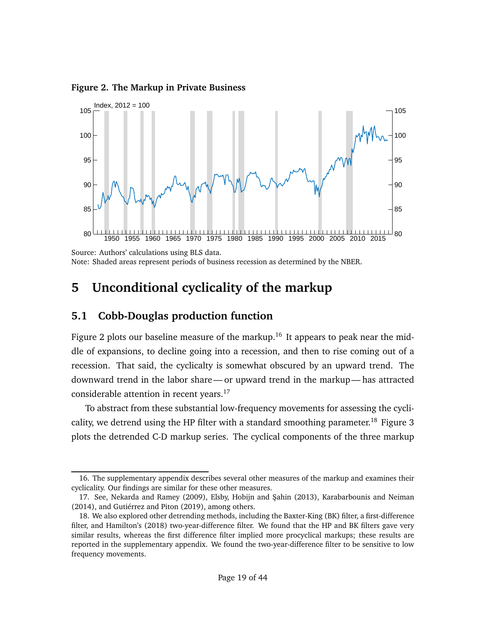<span id="page-18-0"></span>**Figure 2. The Markup in Private Business**



Source: Authors' calculations using BLS data. Note: Shaded areas represent periods of business recession as determined by the NBER.

### **5 Unconditional cyclicality of the markup**

#### **5.1 Cobb-Douglas production function**

Figure [2](#page-18-0) plots our baseline measure of the markup.<sup>[16](#page-18-1)</sup> It appears to peak near the middle of expansions, to decline going into a recession, and then to rise coming out of a recession. That said, the cyclicalty is somewhat obscured by an upward trend. The downward trend in the labor share— or upward trend in the markup— has attracted considerable attention in recent years.<sup>[17](#page-18-2)</sup>

To abstract from these substantial low-frequency movements for assessing the cycli-cality, we detrend using the HP filter with a standard smoothing parameter.<sup>[18](#page-18-3)</sup> Figure [3](#page-19-0) plots the detrended C-D markup series. The cyclical components of the three markup

<span id="page-18-1"></span><sup>16.</sup> The [supplementary appendix](https://chrisnekarda.com/papers/markupcyc_appendix.pdf) describes several other measures of the markup and examines their cyclicality. Our findings are similar for these other measures.

<span id="page-18-2"></span><sup>17.</sup> See, [Nekarda and Ramey](#page-39-0) [\(2009\)](#page-39-0), [Elsby, Hobijn and ¸Sahin](#page-37-11) [\(2013\)](#page-37-11), [Karabarbounis and Neiman](#page-38-7) [\(2014\)](#page-38-7), and [Gutiérrez and Piton](#page-37-12) [\(2019\)](#page-37-12), among others.

<span id="page-18-3"></span><sup>18.</sup> We also explored other detrending methods, including the Baxter-King (BK) filter, a first-difference filter, and [Hamilton'](#page-38-13)s [\(2018\)](#page-38-13) two-year-difference filter. We found that the HP and BK filters gave very similar results, whereas the first difference filter implied more procyclical markups; these results are reported in the [supplementary appendix.](https://chrisnekarda.com/papers/markupcyc_appendix.pdf) We found the two-year-difference filter to be sensitive to low frequency movements.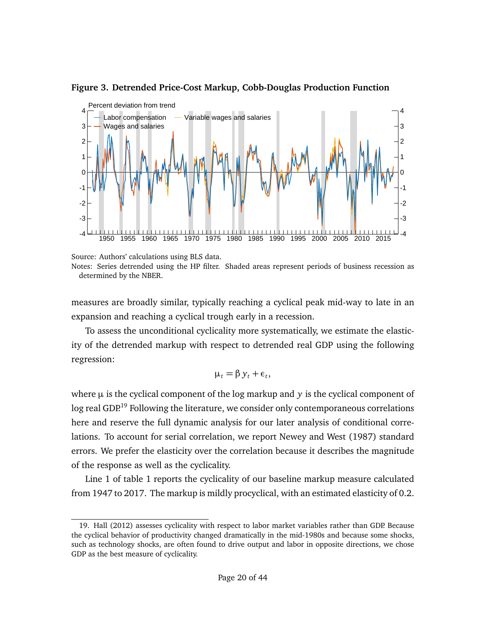

#### <span id="page-19-0"></span>**Figure 3. Detrended Price-Cost Markup, Cobb-Douglas Production Function**

measures are broadly similar, typically reaching a cyclical peak mid-way to late in an expansion and reaching a cyclical trough early in a recession.

To assess the unconditional cyclicality more systematically, we estimate the elasticity of the detrended markup with respect to detrended real GDP using the following regression:

$$
\mu_t = \beta y_t + \epsilon_t,
$$

where *µ* is the cyclical component of the log markup and *y* is the cyclical component of log real GDP.<sup>[19](#page-19-1)</sup> Following the literature, we consider only contemporaneous correlations here and reserve the full dynamic analysis for our later analysis of conditional correlations. To account for serial correlation, we report [Newey and West](#page-39-10) [\(1987\)](#page-39-10) standard errors. We prefer the elasticity over the correlation because it describes the magnitude of the response as well as the cyclicality.

Line 1 of table [1](#page-20-0) reports the cyclicality of our baseline markup measure calculated from 1947 to 2017. The markup is mildly procyclical, with an estimated elasticity of 0.2.

Source: Authors' calculations using BLS data.

Notes: Series detrended using the HP filter. Shaded areas represent periods of business recession as determined by the NBER.

<span id="page-19-1"></span><sup>19.</sup> [Hall](#page-38-4) [\(2012\)](#page-38-4) assesses cyclicality with respect to labor market variables rather than GDP. Because the cyclical behavior of productivity changed dramatically in the mid-1980s and because some shocks, such as technology shocks, are often found to drive output and labor in opposite directions, we chose GDP as the best measure of cyclicality.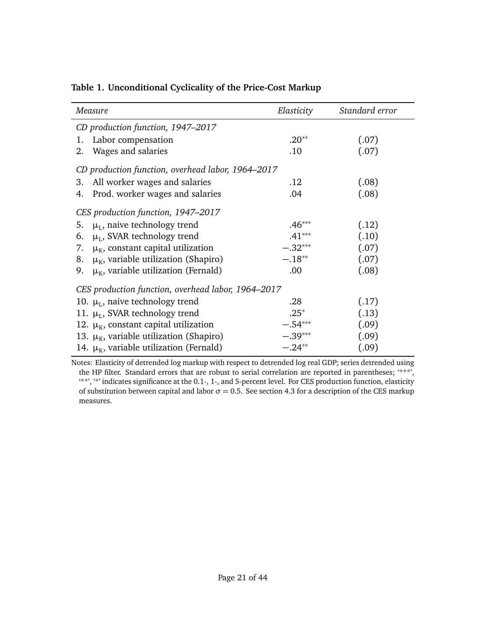| Measure                                               | Elasticity | Standard error |  |  |  |  |
|-------------------------------------------------------|------------|----------------|--|--|--|--|
| CD production function, 1947-2017                     |            |                |  |  |  |  |
| Labor compensation<br>1.                              | $.20**$    | (.07)          |  |  |  |  |
| Wages and salaries<br>2.                              | .10        | (.07)          |  |  |  |  |
| CD production function, overhead labor, 1964–2017     |            |                |  |  |  |  |
| All worker wages and salaries<br>3.                   | .12        | (.08)          |  |  |  |  |
| Prod. worker wages and salaries<br>4.                 | .04        | (.08)          |  |  |  |  |
| CES production function, 1947–2017                    |            |                |  |  |  |  |
| $\mu_{\rm L}$ , naive technology trend<br>5.          | $.46***$   | (.12)          |  |  |  |  |
| $\mu_L$ , SVAR technology trend<br>6.                 | $.41***$   | (.10)          |  |  |  |  |
| $\mu_{K}$ , constant capital utilization<br>7.        | $-.32***$  | (.07)          |  |  |  |  |
| $\mu_{K}$ , variable utilization (Shapiro)<br>8.      | $-.18***$  | (.07)          |  |  |  |  |
| $\mu_{\kappa}$ , variable utilization (Fernald)<br>9. | .00        | (.08)          |  |  |  |  |
| CES production function, overhead labor, 1964–2017    |            |                |  |  |  |  |
| 10. $\mu_L$ , naive technology trend                  | .28        | (.17)          |  |  |  |  |
| 11. $\mu$ <sub>L</sub> , SVAR technology trend        | $.25*$     | (.13)          |  |  |  |  |
| 12. $\mu_{K}$ , constant capital utilization          | $-.54***$  | (.09)          |  |  |  |  |
| 13. $\mu_{K}$ , variable utilization (Shapiro)        | $-.39***$  | (.09)          |  |  |  |  |
| 14. $\mu_{K}$ , variable utilization (Fernald)        | $-.24**$   | (.09)          |  |  |  |  |

#### <span id="page-20-0"></span>**Table 1. Unconditional Cyclicality of the Price-Cost Markup**

Notes: Elasticity of detrended log markup with respect to detrended log real GDP; series detrended using the HP filter. Standard errors that are robust to serial correlation are reported in parentheses; '\*\*\*', '\*\*', '\*' indicates significance at the 0.1-, 1-, and 5-percent level. For CES production function, elasticity of substitution between capital and labor  $\sigma = 0.5$ . See section [4.3](#page-15-2) for a description of the CES markup measures.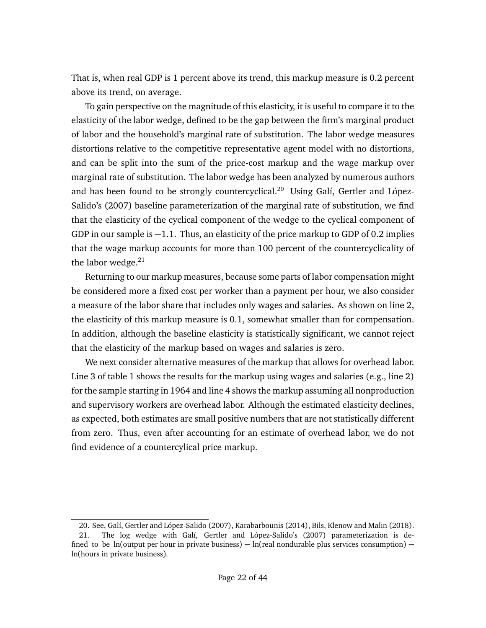That is, when real GDP is 1 percent above its trend, this markup measure is 0.2 percent above its trend, on average.

To gain perspective on the magnitude of this elasticity, it is useful to compare it to the elasticity of the labor wedge, defined to be the gap between the firm's marginal product of labor and the household's marginal rate of substitution. The labor wedge measures distortions relative to the competitive representative agent model with no distortions, and can be split into the sum of the price-cost markup and the wage markup over marginal rate of substitution. The labor wedge has been analyzed by numerous authors and has been found to be strongly countercyclical.<sup>[20](#page-21-0)</sup> Using [Galí, Gertler and López-](#page-37-5)[Salido'](#page-37-5)s [\(2007\)](#page-37-5) baseline parameterization of the marginal rate of substitution, we find that the elasticity of the cyclical component of the wedge to the cyclical component of GDP in our sample is  $-1.1$ . Thus, an elasticity of the price markup to GDP of 0.2 implies that the wage markup accounts for more than 100 percent of the countercyclicality of the labor wedge. $21$ 

Returning to our markup measures, because some parts of labor compensation might be considered more a fixed cost per worker than a payment per hour, we also consider a measure of the labor share that includes only wages and salaries. As shown on line 2, the elasticity of this markup measure is 0.1, somewhat smaller than for compensation. In addition, although the baseline elasticity is statistically significant, we cannot reject that the elasticity of the markup based on wages and salaries is zero.

We next consider alternative measures of the markup that allows for overhead labor. Line 3 of table [1](#page-20-0) shows the results for the markup using wages and salaries (e.g., line 2) for the sample starting in 1964 and line 4 shows the markup assuming all nonproduction and supervisory workers are overhead labor. Although the estimated elasticity declines, as expected, both estimates are small positive numbers that are not statistically different from zero. Thus, even after accounting for an estimate of overhead labor, we do not find evidence of a countercylical price markup.

<span id="page-21-1"></span><span id="page-21-0"></span><sup>20.</sup> See, [Galí, Gertler and López-Salido](#page-37-5) [\(2007\)](#page-37-5), [Karabarbounis](#page-38-14) [\(2014\)](#page-38-14), [Bils, Klenow and Malin](#page-35-3) [\(2018\)](#page-35-3).

<sup>21.</sup> The log wedge with [Galí, Gertler and López-Salido'](#page-37-5)s [\(2007\)](#page-37-5) parameterization is defined to be ln(output per hour in private business)  $-$  ln(real nondurable plus services consumption)  $$ ln(hours in private business).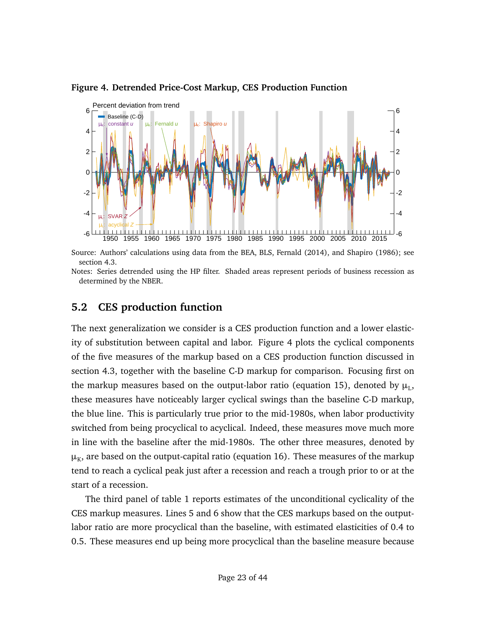

<span id="page-22-0"></span>**Figure 4. Detrended Price-Cost Markup, CES Production Function**

Source: Authors' calculations using data from the BEA, BLS, [Fernald](#page-37-10) [\(2014\)](#page-37-10), and [Shapiro](#page-40-7) [\(1986\)](#page-40-7); see section [4.3.](#page-15-2)

Notes: Series detrended using the HP filter. Shaded areas represent periods of business recession as determined by the NBER.

### **5.2 CES production function**

The next generalization we consider is a CES production function and a lower elasticity of substitution between capital and labor. Figure [4](#page-22-0) plots the cyclical components of the five measures of the markup based on a CES production function discussed in section [4.3,](#page-15-2) together with the baseline C-D markup for comparison. Focusing first on the markup measures based on the output-labor ratio (equation [15\)](#page-15-0), denoted by  $\mu_{\rm L}$ , these measures have noticeably larger cyclical swings than the baseline C-D markup, the blue line. This is particularly true prior to the mid-1980s, when labor productivity switched from being procyclical to acyclical. Indeed, these measures move much more in line with the baseline after the mid-1980s. The other three measures, denoted by  $\mu_{\scriptscriptstyle{K}}$ , are based on the output-capital ratio (equation [16\)](#page-15-1). These measures of the markup tend to reach a cyclical peak just after a recession and reach a trough prior to or at the start of a recession.

The third panel of table [1](#page-20-0) reports estimates of the unconditional cyclicality of the CES markup measures. Lines 5 and 6 show that the CES markups based on the outputlabor ratio are more procyclical than the baseline, with estimated elasticities of 0.4 to 0.5. These measures end up being more procyclical than the baseline measure because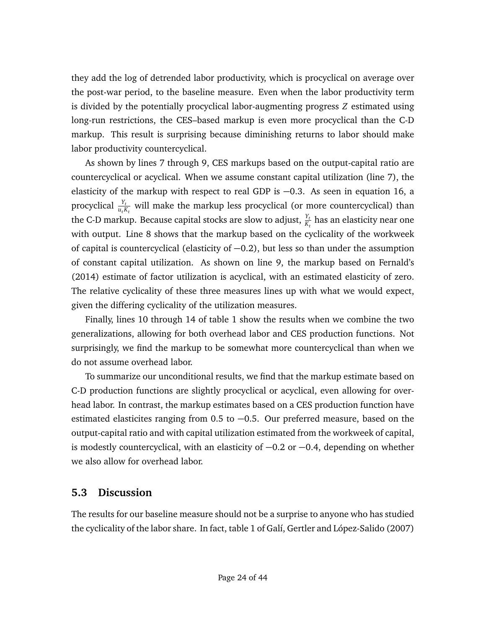they add the log of detrended labor productivity, which is procyclical on average over the post-war period, to the baseline measure. Even when the labor productivity term is divided by the potentially procyclical labor-augmenting progress *Z* estimated using long-run restrictions, the CES–based markup is even more procyclical than the C-D markup. This result is surprising because diminishing returns to labor should make labor productivity countercyclical.

As shown by lines 7 through 9, CES markups based on the output-capital ratio are countercyclical or acyclical. When we assume constant capital utilization (line 7), the elasticity of the markup with respect to real GDP is −0.3. As seen in equation [16,](#page-15-1) a procyclical  $\frac{Y_t}{u_t K_t}$  will make the markup less procyclical (or more countercyclical) than the C-D markup. Because capital stocks are slow to adjust,  $\frac{Y_t}{K_t}$  has an elasticity near one with output. Line 8 shows that the markup based on the cyclicality of the workweek of capital is countercyclical (elasticity of −0.2), but less so than under the assumption of constant capital utilization. As shown on line 9, the markup based on [Fernald'](#page-37-10)s [\(2014\)](#page-37-10) estimate of factor utilization is acyclical, with an estimated elasticity of zero. The relative cyclicality of these three measures lines up with what we would expect, given the differing cyclicality of the utilization measures.

Finally, lines 10 through 14 of table [1](#page-20-0) show the results when we combine the two generalizations, allowing for both overhead labor and CES production functions. Not surprisingly, we find the markup to be somewhat more countercyclical than when we do not assume overhead labor.

To summarize our unconditional results, we find that the markup estimate based on C-D production functions are slightly procyclical or acyclical, even allowing for overhead labor. In contrast, the markup estimates based on a CES production function have estimated elasticites ranging from 0.5 to -0.5. Our preferred measure, based on the output-capital ratio and with capital utilization estimated from the workweek of capital, is modestly countercyclical, with an elasticity of −0.2 or −0.4, depending on whether we also allow for overhead labor.

#### **5.3 Discussion**

The results for our baseline measure should not be a surprise to anyone who has studied the cyclicality of the labor share. In fact, table 1 of [Galí, Gertler and López-Salido](#page-37-5) [\(2007\)](#page-37-5)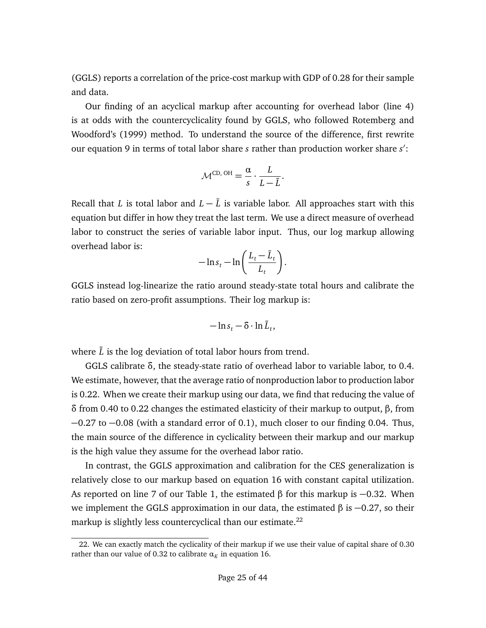(GGLS) reports a correlation of the price-cost markup with GDP of 0.28 for their sample and data.

Our finding of an acyclical markup after accounting for overhead labor (line 4) is at odds with the countercyclicality found by GGLS, who followed [Rotemberg and](#page-40-6) [Woodford'](#page-40-6)s [\(1999\)](#page-40-6) method. To understand the source of the difference, first rewrite our equation [9](#page-11-0) in terms of total labor share *s* rather than production worker share *s'*:

$$
\mathcal{M}^{\text{CD, OH}} = \frac{\alpha}{s} \cdot \frac{L}{L - \bar{L}}.
$$

Recall that *L* is total labor and  $L - \bar{L}$  is variable labor. All approaches start with this equation but differ in how they treat the last term. We use a direct measure of overhead labor to construct the series of variable labor input. Thus, our log markup allowing overhead labor is:

$$
-\ln s_t - \ln\bigg(\frac{L_t - \bar{L}_t}{L_t}\bigg).
$$

GGLS instead log-linearize the ratio around steady-state total hours and calibrate the ratio based on zero-profit assumptions. Their log markup is:

$$
-\ln s_t - \delta \cdot \ln \tilde{L}_t,
$$

where  $\tilde{L}$  is the log deviation of total labor hours from trend.

GGLS calibrate *δ*, the steady-state ratio of overhead labor to variable labor, to 0.4. We estimate, however, that the average ratio of nonproduction labor to production labor is 0.22. When we create their markup using our data, we find that reducing the value of *δ* from 0.40 to 0.22 changes the estimated elasticity of their markup to output, *β*, from −0.27 to −0.08 (with a standard error of 0.1), much closer to our finding 0.04. Thus, the main source of the difference in cyclicality between their markup and our markup is the high value they assume for the overhead labor ratio.

In contrast, the GGLS approximation and calibration for the CES generalization is relatively close to our markup based on equation [16](#page-15-1) with constant capital utilization. As reported on line 7 of our Table [1,](#page-20-0) the estimated *β* for this markup is −0.32. When we implement the GGLS approximation in our data, the estimated *β* is −0.27, so their markup is slightly less countercyclical than our estimate. $^{22}$  $^{22}$  $^{22}$ 

<span id="page-24-0"></span><sup>22.</sup> We can exactly match the cyclicality of their markup if we use their value of capital share of 0.30 rather than our value of 0.32 to calibrate  $\alpha_K$  in equation [16.](#page-15-1)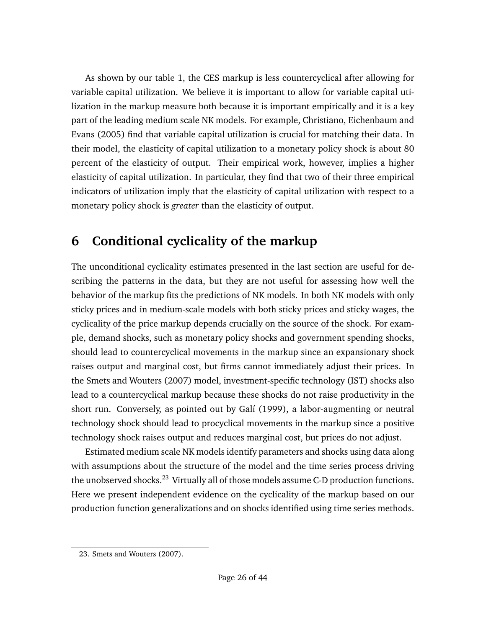As shown by our table [1,](#page-20-0) the CES markup is less countercyclical after allowing for variable capital utilization. We believe it is important to allow for variable capital utilization in the markup measure both because it is important empirically and it is a key part of the leading medium scale NK models. For example, [Christiano, Eichenbaum and](#page-36-10) [Evans](#page-36-10) [\(2005\)](#page-36-10) find that variable capital utilization is crucial for matching their data. In their model, the elasticity of capital utilization to a monetary policy shock is about 80 percent of the elasticity of output. Their empirical work, however, implies a higher elasticity of capital utilization. In particular, they find that two of their three empirical indicators of utilization imply that the elasticity of capital utilization with respect to a monetary policy shock is *greater* than the elasticity of output.

# **6 Conditional cyclicality of the markup**

The unconditional cyclicality estimates presented in the last section are useful for describing the patterns in the data, but they are not useful for assessing how well the behavior of the markup fits the predictions of NK models. In both NK models with only sticky prices and in medium-scale models with both sticky prices and sticky wages, the cyclicality of the price markup depends crucially on the source of the shock. For example, demand shocks, such as monetary policy shocks and government spending shocks, should lead to countercyclical movements in the markup since an expansionary shock raises output and marginal cost, but firms cannot immediately adjust their prices. In the [Smets and Wouters](#page-40-0) [\(2007\)](#page-40-0) model, investment-specific technology (IST) shocks also lead to a countercyclical markup because these shocks do not raise productivity in the short run. Conversely, as pointed out by [Galí](#page-37-8) [\(1999\)](#page-37-8), a labor-augmenting or neutral technology shock should lead to procyclical movements in the markup since a positive technology shock raises output and reduces marginal cost, but prices do not adjust.

Estimated medium scale NK models identify parameters and shocks using data along with assumptions about the structure of the model and the time series process driving the unobserved shocks.<sup>[23](#page-25-0)</sup> Virtually all of those models assume C-D production functions. Here we present independent evidence on the cyclicality of the markup based on our production function generalizations and on shocks identified using time series methods.

<span id="page-25-0"></span><sup>23.</sup> [Smets and Wouters](#page-40-0) [\(2007\)](#page-40-0).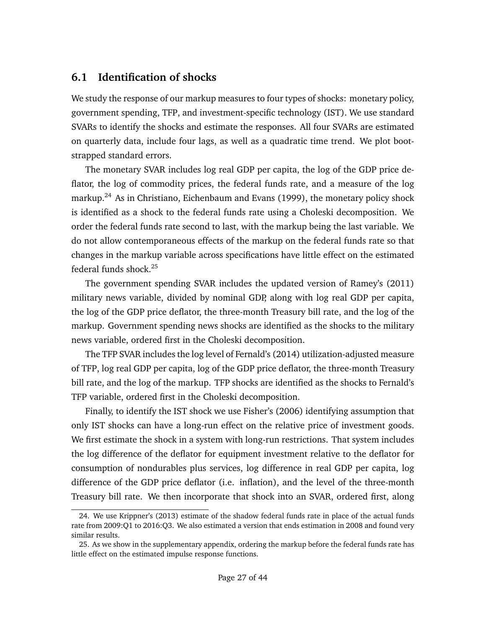### **6.1 Identification of shocks**

We study the response of our markup measures to four types of shocks: monetary policy, government spending, TFP, and investment-specific technology (IST). We use standard SVARs to identify the shocks and estimate the responses. All four SVARs are estimated on quarterly data, include four lags, as well as a quadratic time trend. We plot bootstrapped standard errors.

The monetary SVAR includes log real GDP per capita, the log of the GDP price deflator, the log of commodity prices, the federal funds rate, and a measure of the log markup.<sup>[24](#page-26-0)</sup> As in [Christiano, Eichenbaum and Evans](#page-36-11) [\(1999\)](#page-36-11), the monetary policy shock is identified as a shock to the federal funds rate using a Choleski decomposition. We order the federal funds rate second to last, with the markup being the last variable. We do not allow contemporaneous effects of the markup on the federal funds rate so that changes in the markup variable across specifications have little effect on the estimated federal funds shock.[25](#page-26-1)

The government spending SVAR includes the updated version of [Ramey'](#page-39-11)s [\(2011\)](#page-39-11) military news variable, divided by nominal GDP, along with log real GDP per capita, the log of the GDP price deflator, the three-month Treasury bill rate, and the log of the markup. Government spending news shocks are identified as the shocks to the military news variable, ordered first in the Choleski decomposition.

The TFP SVAR includes the log level of [Fernald'](#page-37-10)s [\(2014\)](#page-37-10) utilization-adjusted measure of TFP, log real GDP per capita, log of the GDP price deflator, the three-month Treasury bill rate, and the log of the markup. TFP shocks are identified as the shocks to Fernald's TFP variable, ordered first in the Choleski decomposition.

Finally, to identify the IST shock we use [Fisher'](#page-37-13)s [\(2006\)](#page-37-13) identifying assumption that only IST shocks can have a long-run effect on the relative price of investment goods. We first estimate the shock in a system with long-run restrictions. That system includes the log difference of the deflator for equipment investment relative to the deflator for consumption of nondurables plus services, log difference in real GDP per capita, log difference of the GDP price deflator (i.e. inflation), and the level of the three-month Treasury bill rate. We then incorporate that shock into an SVAR, ordered first, along

<span id="page-26-0"></span><sup>24.</sup> We use [Krippner'](#page-38-15)s [\(2013\)](#page-38-15) estimate of the shadow federal funds rate in place of the actual funds rate from 2009:Q1 to 2016:Q3. We also estimated a version that ends estimation in 2008 and found very similar results.

<span id="page-26-1"></span><sup>25.</sup> As we show in the [supplementary appendix,](https://chrisnekarda.com/papers/markupcyc_appendix.pdf) ordering the markup before the federal funds rate has little effect on the estimated impulse response functions.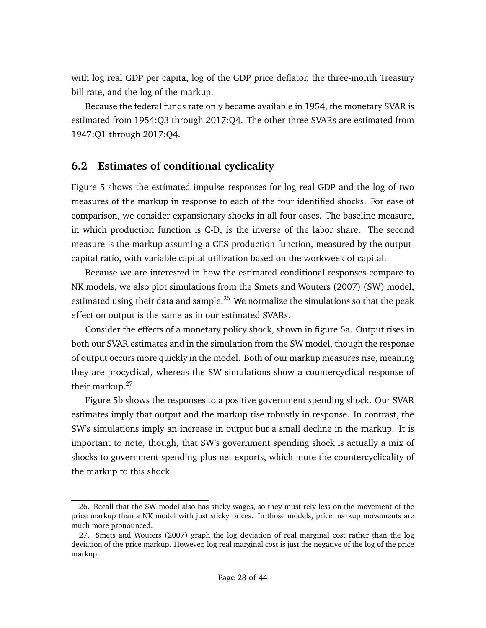with log real GDP per capita, log of the GDP price deflator, the three-month Treasury bill rate, and the log of the markup.

Because the federal funds rate only became available in 1954, the monetary SVAR is estimated from 1954:Q3 through 2017:Q4. The other three SVARs are estimated from 1947:Q1 through 2017:Q4.

#### **6.2 Estimates of conditional cyclicality**

Figure [5](#page-28-0) shows the estimated impulse responses for log real GDP and the log of two measures of the markup in response to each of the four identified shocks. For ease of comparison, we consider expansionary shocks in all four cases. The baseline measure, in which production function is C-D, is the inverse of the labor share. The second measure is the markup assuming a CES production function, measured by the outputcapital ratio, with variable capital utilization based on the workweek of capital.

Because we are interested in how the estimated conditional responses compare to NK models, we also plot simulations from the [Smets and Wouters](#page-40-0) [\(2007\)](#page-40-0) (SW) model, estimated using their data and sample.<sup>[26](#page-27-0)</sup> We normalize the simulations so that the peak effect on output is the same as in our estimated SVARs.

Consider the effects of a monetary policy shock, shown in figure [5a.](#page-28-0) Output rises in both our SVAR estimates and in the simulation from the SW model, though the response of output occurs more quickly in the model. Both of our markup measures rise, meaning they are procyclical, whereas the SW simulations show a countercyclical response of their markup. $27$ 

Figure [5b](#page-28-0) shows the responses to a positive government spending shock. Our SVAR estimates imply that output and the markup rise robustly in response. In contrast, the SW's simulations imply an increase in output but a small decline in the markup. It is important to note, though, that SW's government spending shock is actually a mix of shocks to government spending plus net exports, which mute the countercyclicality of the markup to this shock.

<span id="page-27-0"></span><sup>26.</sup> Recall that the SW model also has sticky wages, so they must rely less on the movement of the price markup than a NK model with just sticky prices. In those models, price markup movements are much more pronounced.

<span id="page-27-1"></span><sup>27.</sup> [Smets and Wouters](#page-40-0) [\(2007\)](#page-40-0) graph the log deviation of real marginal cost rather than the log deviation of the price markup. However, log real marginal cost is just the negative of the log of the price markup.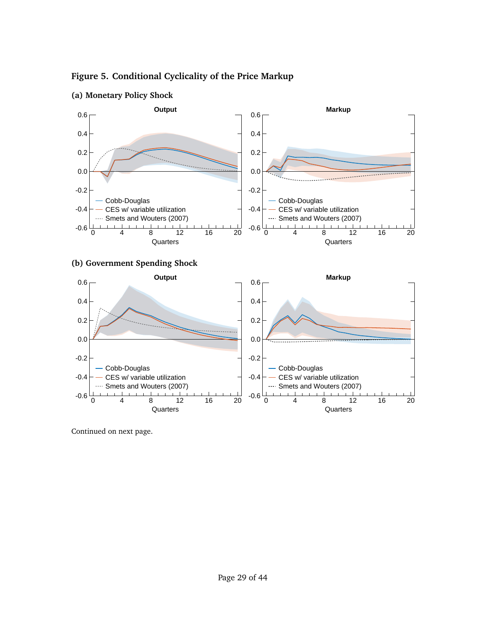<span id="page-28-0"></span>









Continued on next page.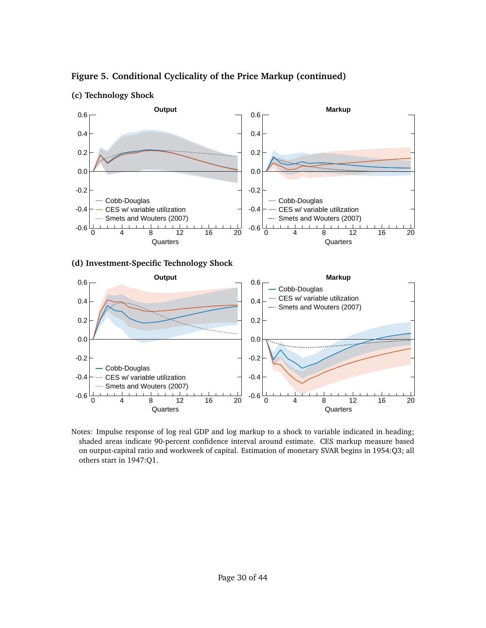

<span id="page-29-0"></span>**Figure 5. Conditional Cyclicality of the Price Markup (continued)**





Notes: Impulse response of log real GDP and log markup to a shock to variable indicated in heading; shaded areas indicate 90-percent confidence interval around estimate. CES markup measure based on output-capital ratio and workweek of capital. Estimation of monetary SVAR begins in 1954:Q3; all others start in 1947:Q1.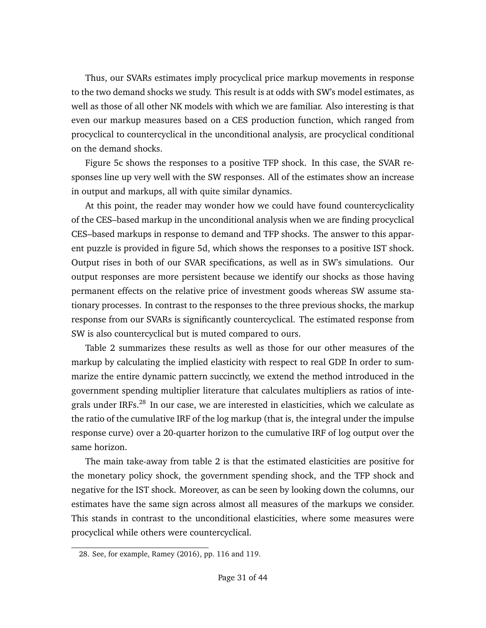Thus, our SVARs estimates imply procyclical price markup movements in response to the two demand shocks we study. This result is at odds with SW's model estimates, as well as those of all other NK models with which we are familiar. Also interesting is that even our markup measures based on a CES production function, which ranged from procyclical to countercyclical in the unconditional analysis, are procyclical conditional on the demand shocks.

Figure [5c](#page-29-0) shows the responses to a positive TFP shock. In this case, the SVAR responses line up very well with the SW responses. All of the estimates show an increase in output and markups, all with quite similar dynamics.

At this point, the reader may wonder how we could have found countercyclicality of the CES–based markup in the unconditional analysis when we are finding procyclical CES–based markups in response to demand and TFP shocks. The answer to this apparent puzzle is provided in figure [5d,](#page-29-0) which shows the responses to a positive IST shock. Output rises in both of our SVAR specifications, as well as in SW's simulations. Our output responses are more persistent because we identify our shocks as those having permanent effects on the relative price of investment goods whereas SW assume stationary processes. In contrast to the responses to the three previous shocks, the markup response from our SVARs is significantly countercyclical. The estimated response from SW is also countercyclical but is muted compared to ours.

Table [2](#page-31-0) summarizes these results as well as those for our other measures of the markup by calculating the implied elasticity with respect to real GDP. In order to summarize the entire dynamic pattern succinctly, we extend the method introduced in the government spending multiplier literature that calculates multipliers as ratios of inte-grals under IRFs.<sup>[28](#page-30-0)</sup> In our case, we are interested in elasticities, which we calculate as the ratio of the cumulative IRF of the log markup (that is, the integral under the impulse response curve) over a 20-quarter horizon to the cumulative IRF of log output over the same horizon.

The main take-away from table [2](#page-31-0) is that the estimated elasticities are positive for the monetary policy shock, the government spending shock, and the TFP shock and negative for the IST shock. Moreover, as can be seen by looking down the columns, our estimates have the same sign across almost all measures of the markups we consider. This stands in contrast to the unconditional elasticities, where some measures were procyclical while others were countercyclical.

<span id="page-30-0"></span><sup>28.</sup> See, for example, [Ramey](#page-39-12) [\(2016\)](#page-39-12), pp. 116 and 119.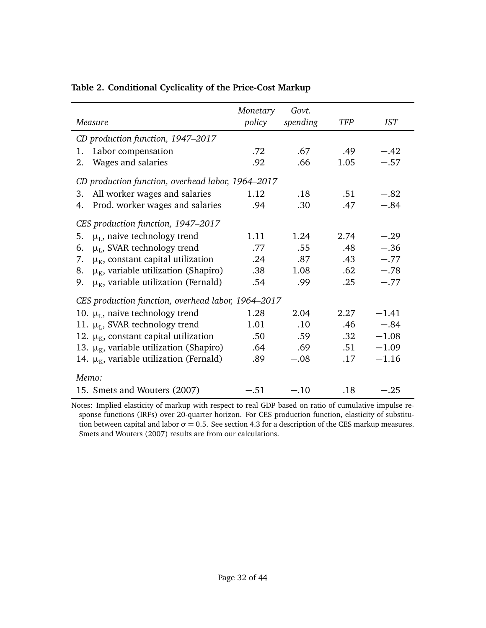| Measure                                            | Monetary<br>policy | Govt.<br>spending | <b>TFP</b> | <b>IST</b> |  |  |
|----------------------------------------------------|--------------------|-------------------|------------|------------|--|--|
| CD production function, 1947-2017                  |                    |                   |            |            |  |  |
| Labor compensation<br>1.                           | .72                | .67               | .49        | $-.42$     |  |  |
| Wages and salaries<br>2.                           | .92                | .66               | 1.05       | $-.57$     |  |  |
| CD production function, overhead labor, 1964–2017  |                    |                   |            |            |  |  |
| All worker wages and salaries<br>3.                | 1.12               | .18               | .51        | $-.82$     |  |  |
| Prod. worker wages and salaries<br>4.              | .94                | .30               | .47        | $-.84$     |  |  |
| CES production function, 1947-2017                 |                    |                   |            |            |  |  |
| $\mu_L$ , naive technology trend<br>5.             | 1.11               | 1.24              | 2.74       | $-.29$     |  |  |
| $\mu_L$ , SVAR technology trend<br>6.              | .77                | .55               | .48        | $-.36$     |  |  |
| $\mu_{K}$ , constant capital utilization<br>7.     | .24                | .87               | .43        | $-.77$     |  |  |
| $\mu_{K}$ , variable utilization (Shapiro)<br>8.   | .38                | 1.08              | .62        | $-.78$     |  |  |
| $\mu_{K}$ , variable utilization (Fernald)<br>9.   | .54                | .99               | .25        | $-.77$     |  |  |
| CES production function, overhead labor, 1964–2017 |                    |                   |            |            |  |  |
| 10. $\mu$ <sub>L</sub> , naive technology trend    | 1.28               | 2.04              | 2.27       | $-1.41$    |  |  |
| 11. $\mu_L$ , SVAR technology trend                | 1.01               | .10               | .46        | $-.84$     |  |  |
| 12. $\mu_{K}$ , constant capital utilization       | .50                | .59               | .32        | $-1.08$    |  |  |
| 13. $\mu_{K}$ , variable utilization (Shapiro)     | .64                | .69               | .51        | $-1.09$    |  |  |
| 14. $\mu_{K}$ , variable utilization (Fernald)     | .89                | $-.08$            | .17        | $-1.16$    |  |  |
| Memo:                                              |                    |                   |            |            |  |  |
| 15. Smets and Wouters (2007)                       | $-.51$             | $-.10$            | .18        | $-.25$     |  |  |

#### <span id="page-31-0"></span>**Table 2. Conditional Cyclicality of the Price-Cost Markup**

Notes: Implied elasticity of markup with respect to real GDP based on ratio of cumulative impulse response functions (IRFs) over 20-quarter horizon. For CES production function, elasticity of substitution between capital and labor  $σ = 0.5$ . See section [4.3](#page-15-2) for a description of the CES markup measures. [Smets and Wouters](#page-40-0) [\(2007\)](#page-40-0) results are from our calculations.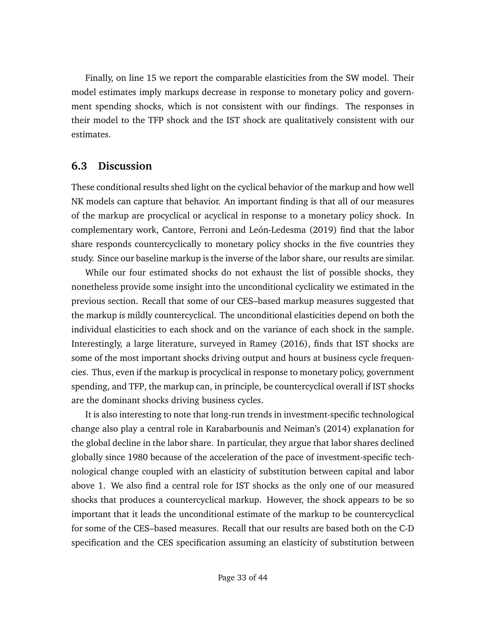Finally, on line 15 we report the comparable elasticities from the SW model. Their model estimates imply markups decrease in response to monetary policy and government spending shocks, which is not consistent with our findings. The responses in their model to the TFP shock and the IST shock are qualitatively consistent with our estimates.

#### **6.3 Discussion**

These conditional results shed light on the cyclical behavior of the markup and how well NK models can capture that behavior. An important finding is that all of our measures of the markup are procyclical or acyclical in response to a monetary policy shock. In complementary work, [Cantore, Ferroni and León-Ledesma](#page-36-12) [\(2019\)](#page-36-12) find that the labor share responds countercyclically to monetary policy shocks in the five countries they study. Since our baseline markup is the inverse of the labor share, our results are similar.

While our four estimated shocks do not exhaust the list of possible shocks, they nonetheless provide some insight into the unconditional cyclicality we estimated in the previous section. Recall that some of our CES–based markup measures suggested that the markup is mildly countercyclical. The unconditional elasticities depend on both the individual elasticities to each shock and on the variance of each shock in the sample. Interestingly, a large literature, surveyed in [Ramey](#page-39-12) [\(2016\)](#page-39-12), finds that IST shocks are some of the most important shocks driving output and hours at business cycle frequencies. Thus, even if the markup is procyclical in response to monetary policy, government spending, and TFP, the markup can, in principle, be countercyclical overall if IST shocks are the dominant shocks driving business cycles.

It is also interesting to note that long-run trends in investment-specific technological change also play a central role in [Karabarbounis and Neiman'](#page-38-7)s [\(2014\)](#page-38-7) explanation for the global decline in the labor share. In particular, they argue that labor shares declined globally since 1980 because of the acceleration of the pace of investment-specific technological change coupled with an elasticity of substitution between capital and labor above 1. We also find a central role for IST shocks as the only one of our measured shocks that produces a countercyclical markup. However, the shock appears to be so important that it leads the unconditional estimate of the markup to be countercyclical for some of the CES–based measures. Recall that our results are based both on the C-D specification and the CES specification assuming an elasticity of substitution between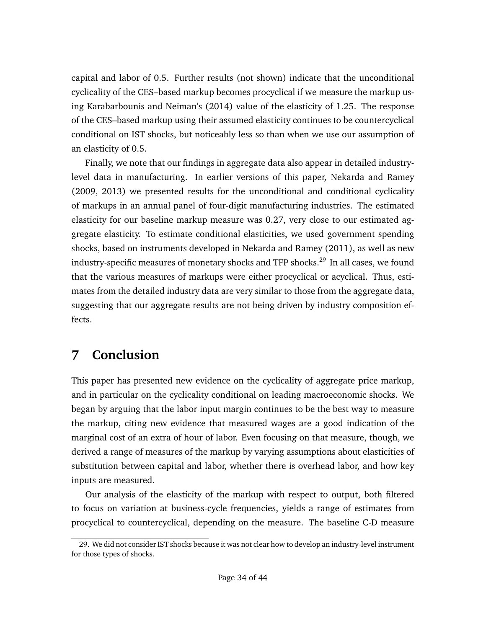capital and labor of 0.5. Further results (not shown) indicate that the unconditional cyclicality of the CES–based markup becomes procyclical if we measure the markup using [Karabarbounis and Neiman'](#page-38-7)s [\(2014\)](#page-38-7) value of the elasticity of 1.25. The response of the CES–based markup using their assumed elasticity continues to be countercyclical conditional on IST shocks, but noticeably less so than when we use our assumption of an elasticity of 0.5.

Finally, we note that our findings in aggregate data also appear in detailed industrylevel data in manufacturing. In earlier versions of this paper, [Nekarda and Ramey](#page-39-0) [\(2009,](#page-39-0) [2013\)](#page-39-1) we presented results for the unconditional and conditional cyclicality of markups in an annual panel of four-digit manufacturing industries. The estimated elasticity for our baseline markup measure was 0.27, very close to our estimated aggregate elasticity. To estimate conditional elasticities, we used government spending shocks, based on instruments developed in [Nekarda and Ramey](#page-39-13) [\(2011\)](#page-39-13), as well as new industry-specific measures of monetary shocks and TFP shocks.<sup>[29](#page-33-0)</sup> In all cases, we found that the various measures of markups were either procyclical or acyclical. Thus, estimates from the detailed industry data are very similar to those from the aggregate data, suggesting that our aggregate results are not being driven by industry composition effects.

# **7 Conclusion**

This paper has presented new evidence on the cyclicality of aggregate price markup, and in particular on the cyclicality conditional on leading macroeconomic shocks. We began by arguing that the labor input margin continues to be the best way to measure the markup, citing new evidence that measured wages are a good indication of the marginal cost of an extra of hour of labor. Even focusing on that measure, though, we derived a range of measures of the markup by varying assumptions about elasticities of substitution between capital and labor, whether there is overhead labor, and how key inputs are measured.

Our analysis of the elasticity of the markup with respect to output, both filtered to focus on variation at business-cycle frequencies, yields a range of estimates from procyclical to countercyclical, depending on the measure. The baseline C-D measure

<span id="page-33-0"></span><sup>29.</sup> We did not consider IST shocks because it was not clear how to develop an industry-level instrument for those types of shocks.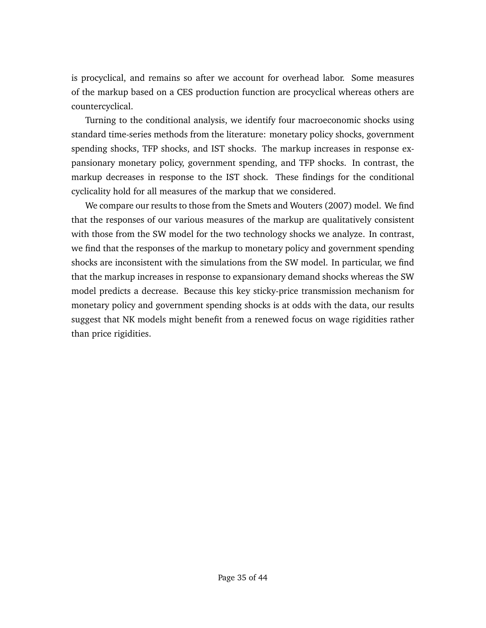is procyclical, and remains so after we account for overhead labor. Some measures of the markup based on a CES production function are procyclical whereas others are countercyclical.

Turning to the conditional analysis, we identify four macroeconomic shocks using standard time-series methods from the literature: monetary policy shocks, government spending shocks, TFP shocks, and IST shocks. The markup increases in response expansionary monetary policy, government spending, and TFP shocks. In contrast, the markup decreases in response to the IST shock. These findings for the conditional cyclicality hold for all measures of the markup that we considered.

We compare our results to those from the [Smets and Wouters](#page-40-0) [\(2007\)](#page-40-0) model. We find that the responses of our various measures of the markup are qualitatively consistent with those from the SW model for the two technology shocks we analyze. In contrast, we find that the responses of the markup to monetary policy and government spending shocks are inconsistent with the simulations from the SW model. In particular, we find that the markup increases in response to expansionary demand shocks whereas the SW model predicts a decrease. Because this key sticky-price transmission mechanism for monetary policy and government spending shocks is at odds with the data, our results suggest that NK models might benefit from a renewed focus on wage rigidities rather than price rigidities.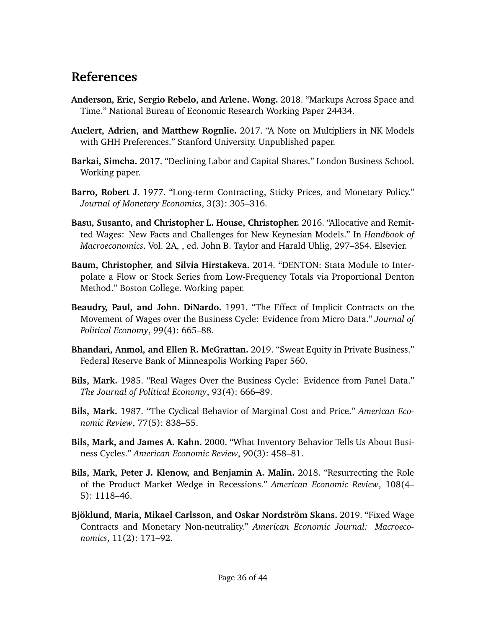# <span id="page-35-12"></span>**References**

- <span id="page-35-1"></span>**Anderson, Eric, Sergio Rebelo, and Arlene. Wong.** 2018. "Markups Across Space and Time." National Bureau of Economic Research Working Paper 24434.
- <span id="page-35-0"></span>**Auclert, Adrien, and Matthew Rognlie.** 2017. "A Note on Multipliers in NK Models with GHH Preferences." Stanford University. Unpublished paper.
- <span id="page-35-5"></span>**Barkai, Simcha.** 2017. "Declining Labor and Capital Shares." London Business School. Working paper.
- <span id="page-35-8"></span>**Barro, Robert J.** 1977. "Long-term Contracting, Sticky Prices, and Monetary Policy." *Journal of Monetary Economics*, 3(3): 305–316.
- <span id="page-35-11"></span>**Basu, Susanto, and Christopher L. House, Christopher.** 2016. "Allocative and Remitted Wages: New Facts and Challenges for New Keynesian Models." In *Handbook of Macroeconomics*. Vol. 2A, , ed. John B. Taylor and Harald Uhlig, 297–354. Elsevier.
- <span id="page-35-13"></span>**Baum, Christopher, and Silvia Hirstakeva.** 2014. "DENTON: Stata Module to Interpolate a Flow or Stock Series from Low-Frequency Totals via Proportional Denton Method." Boston College. Working paper.
- <span id="page-35-7"></span>**Beaudry, Paul, and John. DiNardo.** 1991. "The Effect of Implicit Contracts on the Movement of Wages over the Business Cycle: Evidence from Micro Data." *Journal of Political Economy*, 99(4): 665–88.
- <span id="page-35-10"></span>**Bhandari, Anmol, and Ellen R. McGrattan.** 2019. "Sweat Equity in Private Business." Federal Reserve Bank of Minneapolis Working Paper 560.
- <span id="page-35-6"></span>**Bils, Mark.** 1985. "Real Wages Over the Business Cycle: Evidence from Panel Data." *The Journal of Political Economy*, 93(4): 666–89.
- <span id="page-35-2"></span>**Bils, Mark.** 1987. "The Cyclical Behavior of Marginal Cost and Price." *American Economic Review*, 77(5): 838–55.
- <span id="page-35-4"></span>**Bils, Mark, and James A. Kahn.** 2000. "What Inventory Behavior Tells Us About Business Cycles." *American Economic Review*, 90(3): 458–81.
- <span id="page-35-3"></span>**Bils, Mark, Peter J. Klenow, and Benjamin A. Malin.** 2018. "Resurrecting the Role of the Product Market Wedge in Recessions." *American Economic Review*, 108(4– 5): 1118–46.
- <span id="page-35-9"></span>**Bjöklund, Maria, Mikael Carlsson, and Oskar Nordström Skans.** 2019. "Fixed Wage Contracts and Monetary Non-neutrality." *American Economic Journal: Macroeconomics*, 11(2): 171–92.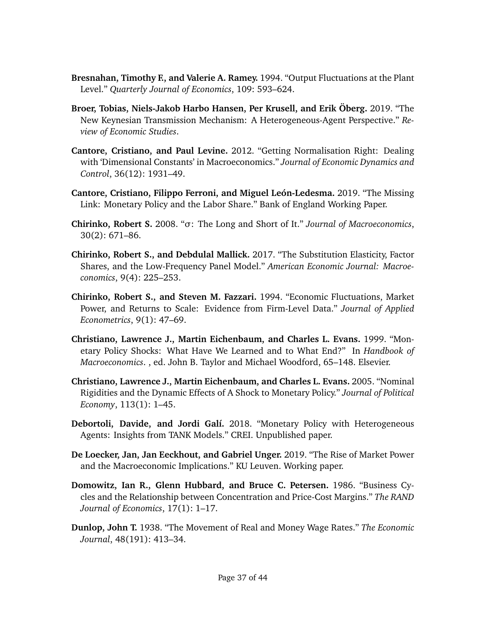- <span id="page-36-6"></span>**Bresnahan, Timothy F., and Valerie A. Ramey.** 1994. "Output Fluctuations at the Plant Level." *Quarterly Journal of Economics*, 109: 593–624.
- <span id="page-36-0"></span>**Broer, Tobias, Niels-Jakob Harbo Hansen, Per Krusell, and Erik Öberg.** 2019. "The New Keynesian Transmission Mechanism: A Heterogeneous-Agent Perspective." *Review of Economic Studies*.
- <span id="page-36-9"></span>**Cantore, Cristiano, and Paul Levine.** 2012. "Getting Normalisation Right: Dealing with 'Dimensional Constants' in Macroeconomics." *Journal of Economic Dynamics and Control*, 36(12): 1931–49.
- <span id="page-36-12"></span>**Cantore, Cristiano, Filippo Ferroni, and Miguel León-Ledesma.** 2019. "The Missing Link: Monetary Policy and the Labor Share." Bank of England Working Paper.
- <span id="page-36-7"></span>**Chirinko, Robert S.** 2008. "*σ*: The Long and Short of It." *Journal of Macroeconomics*, 30(2): 671–86.
- <span id="page-36-8"></span>**Chirinko, Robert S., and Debdulal Mallick.** 2017. "The Substitution Elasticity, Factor Shares, and the Low-Frequency Panel Model." *American Economic Journal: Macroeconomics*, 9(4): 225–253.
- <span id="page-36-4"></span>**Chirinko, Robert S., and Steven M. Fazzari.** 1994. "Economic Fluctuations, Market Power, and Returns to Scale: Evidence from Firm-Level Data." *Journal of Applied Econometrics*, 9(1): 47–69.
- <span id="page-36-11"></span>**Christiano, Lawrence J., Martin Eichenbaum, and Charles L. Evans.** 1999. "Monetary Policy Shocks: What Have We Learned and to What End?" In *Handbook of Macroeconomics*. , ed. John B. Taylor and Michael Woodford, 65–148. Elsevier.
- <span id="page-36-10"></span>**Christiano, Lawrence J., Martin Eichenbaum, and Charles L. Evans.** 2005. "Nominal Rigidities and the Dynamic Effects of A Shock to Monetary Policy." *Journal of Political Economy*, 113(1): 1–45.
- <span id="page-36-1"></span>**Debortoli, Davide, and Jordi Galí.** 2018. "Monetary Policy with Heterogeneous Agents: Insights from TANK Models." CREI. Unpublished paper.
- <span id="page-36-5"></span>**De Loecker, Jan, Jan Eeckhout, and Gabriel Unger.** 2019. "The Rise of Market Power and the Macroeconomic Implications." KU Leuven. Working paper.
- <span id="page-36-3"></span>**Domowitz, Ian R., Glenn Hubbard, and Bruce C. Petersen.** 1986. "Business Cycles and the Relationship between Concentration and Price-Cost Margins." *The RAND Journal of Economics*, 17(1): 1–17.
- <span id="page-36-2"></span>**Dunlop, John T.** 1938. "The Movement of Real and Money Wage Rates." *The Economic Journal*, 48(191): 413–34.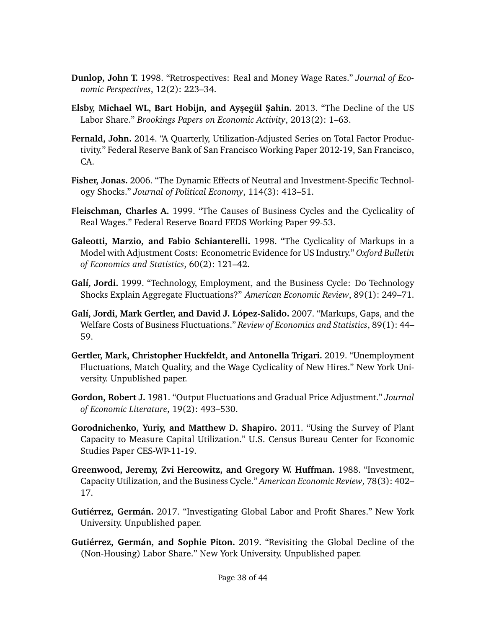- <span id="page-37-0"></span>**Dunlop, John T.** 1998. "Retrospectives: Real and Money Wage Rates." *Journal of Economic Perspectives*, 12(2): 223–34.
- <span id="page-37-11"></span>**Elsby, Michael WL, Bart Hobijn, and Ayşegül Şahin.** 2013. "The Decline of the US Labor Share." *Brookings Papers on Economic Activity*, 2013(2): 1–63.
- <span id="page-37-10"></span>**Fernald, John.** 2014. "A Quarterly, Utilization-Adjusted Series on Total Factor Productivity." Federal Reserve Bank of San Francisco Working Paper 2012-19, San Francisco, CA.
- <span id="page-37-13"></span>**Fisher, Jonas.** 2006. "The Dynamic Effects of Neutral and Investment-Specific Technology Shocks." *Journal of Political Economy*, 114(3): 413–51.
- <span id="page-37-2"></span>**Fleischman, Charles A.** 1999. "The Causes of Business Cycles and the Cyclicality of Real Wages." Federal Reserve Board FEDS Working Paper 99-53.
- <span id="page-37-4"></span>**Galeotti, Marzio, and Fabio Schianterelli.** 1998. "The Cyclicality of Markups in a Model with Adjustment Costs: Econometric Evidence for US Industry." *Oxford Bulletin of Economics and Statistics*, 60(2): 121–42.
- <span id="page-37-8"></span>**Galí, Jordi.** 1999. "Technology, Employment, and the Business Cycle: Do Technology Shocks Explain Aggregate Fluctuations?" *American Economic Review*, 89(1): 249–71.
- <span id="page-37-5"></span>**Galí, Jordi, Mark Gertler, and David J. López-Salido.** 2007. "Markups, Gaps, and the Welfare Costs of Business Fluctuations." *Review of Economics and Statistics*, 89(1): 44– 59.
- <span id="page-37-7"></span>**Gertler, Mark, Christopher Huckfeldt, and Antonella Trigari.** 2019. "Unemployment Fluctuations, Match Quality, and the Wage Cyclicality of New Hires." New York University. Unpublished paper.
- <span id="page-37-1"></span>**Gordon, Robert J.** 1981. "Output Fluctuations and Gradual Price Adjustment." *Journal of Economic Literature*, 19(2): 493–530.
- <span id="page-37-9"></span>**Gorodnichenko, Yuriy, and Matthew D. Shapiro.** 2011. "Using the Survey of Plant Capacity to Measure Capital Utilization." U.S. Census Bureau Center for Economic Studies Paper CES-WP-11-19.
- <span id="page-37-3"></span>**Greenwood, Jeremy, Zvi Hercowitz, and Gregory W. Huffman.** 1988. "Investment, Capacity Utilization, and the Business Cycle." *American Economic Review*, 78(3): 402– 17.
- <span id="page-37-6"></span>**Gutiérrez, Germán.** 2017. "Investigating Global Labor and Profit Shares." New York University. Unpublished paper.
- <span id="page-37-12"></span>**Gutiérrez, Germán, and Sophie Piton.** 2019. "Revisiting the Global Decline of the (Non-Housing) Labor Share." New York University. Unpublished paper.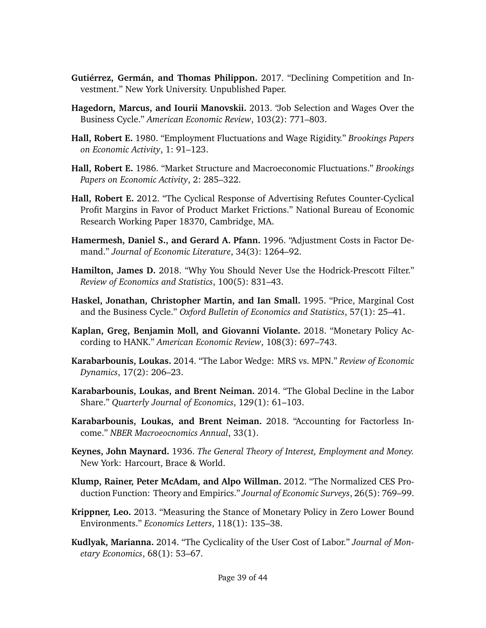- <span id="page-38-5"></span>**Gutiérrez, Germán, and Thomas Philippon.** 2017. "Declining Competition and Investment." New York University. Unpublished Paper.
- <span id="page-38-10"></span>**Hagedorn, Marcus, and Iourii Manovskii.** 2013. "Job Selection and Wages Over the Business Cycle." *American Economic Review*, 103(2): 771–803.
- <span id="page-38-11"></span>**Hall, Robert E.** 1980. "Employment Fluctuations and Wage Rigidity." *Brookings Papers on Economic Activity*, 1: 91–123.
- <span id="page-38-2"></span>**Hall, Robert E.** 1986. "Market Structure and Macroeconomic Fluctuations." *Brookings Papers on Economic Activity*, 2: 285–322.
- <span id="page-38-4"></span>**Hall, Robert E.** 2012. "The Cyclical Response of Advertising Refutes Counter-Cyclical Profit Margins in Favor of Product Market Frictions." National Bureau of Economic Research Working Paper 18370, Cambridge, MA.
- <span id="page-38-8"></span>**Hamermesh, Daniel S., and Gerard A. Pfann.** 1996. "Adjustment Costs in Factor Demand." *Journal of Economic Literature*, 34(3): 1264–92.
- <span id="page-38-13"></span>**Hamilton, James D.** 2018. "Why You Should Never Use the Hodrick-Prescott Filter." *Review of Economics and Statistics*, 100(5): 831–43.
- <span id="page-38-3"></span>**Haskel, Jonathan, Christopher Martin, and Ian Small.** 1995. "Price, Marginal Cost and the Business Cycle." *Oxford Bulletin of Economics and Statistics*, 57(1): 25–41.
- <span id="page-38-0"></span>**Kaplan, Greg, Benjamin Moll, and Giovanni Violante.** 2018. "Monetary Policy According to HANK." *American Economic Review*, 108(3): 697–743.
- <span id="page-38-14"></span>**Karabarbounis, Loukas.** 2014. "The Labor Wedge: MRS vs. MPN." *Review of Economic Dynamics*, 17(2): 206–23.
- <span id="page-38-7"></span>**Karabarbounis, Loukas, and Brent Neiman.** 2014. "The Global Decline in the Labor Share." *Quarterly Journal of Economics*, 129(1): 61–103.
- <span id="page-38-6"></span>**Karabarbounis, Loukas, and Brent Neiman.** 2018. "Accounting for Factorless Income." *NBER Macroeocnomics Annual*, 33(1).
- <span id="page-38-1"></span>**Keynes, John Maynard.** 1936. *The General Theory of Interest, Employment and Money.* New York: Harcourt, Brace & World.
- <span id="page-38-12"></span>**Klump, Rainer, Peter McAdam, and Alpo Willman.** 2012. "The Normalized CES Production Function: Theory and Empirics." *Journal of Economic Surveys*, 26(5): 769–99.
- <span id="page-38-15"></span>**Krippner, Leo.** 2013. "Measuring the Stance of Monetary Policy in Zero Lower Bound Environments." *Economics Letters*, 118(1): 135–38.
- <span id="page-38-9"></span>**Kudlyak, Marianna.** 2014. "The Cyclicality of the User Cost of Labor." *Journal of Monetary Economics*, 68(1): 53–67.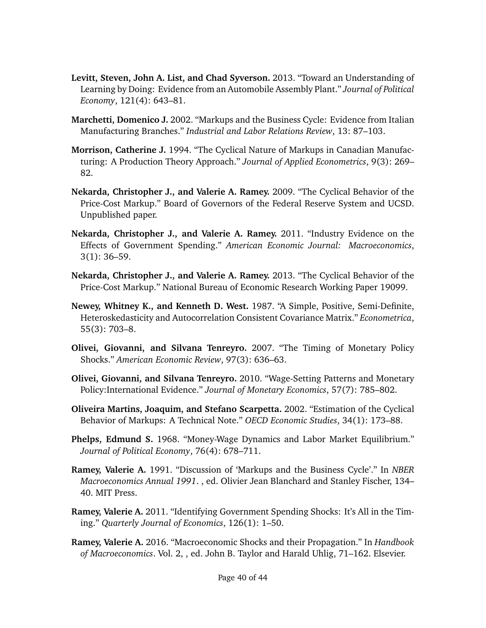- <span id="page-39-9"></span>**Levitt, Steven, John A. List, and Chad Syverson.** 2013. "Toward an Understanding of Learning by Doing: Evidence from an Automobile Assembly Plant." *Journal of Political Economy*, 121(4): 643–81.
- <span id="page-39-3"></span>**Marchetti, Domenico J.** 2002. "Markups and the Business Cycle: Evidence from Italian Manufacturing Branches." *Industrial and Labor Relations Review*, 13: 87–103.
- <span id="page-39-4"></span>**Morrison, Catherine J.** 1994. "The Cyclical Nature of Markups in Canadian Manufacturing: A Production Theory Approach." *Journal of Applied Econometrics*, 9(3): 269– 82.
- <span id="page-39-0"></span>**Nekarda, Christopher J., and Valerie A. Ramey.** 2009. "The Cyclical Behavior of the Price-Cost Markup." Board of Governors of the Federal Reserve System and UCSD. Unpublished paper.
- <span id="page-39-13"></span>**Nekarda, Christopher J., and Valerie A. Ramey.** 2011. "Industry Evidence on the Effects of Government Spending." *American Economic Journal: Macroeconomics*, 3(1): 36–59.
- <span id="page-39-1"></span>**Nekarda, Christopher J., and Valerie A. Ramey.** 2013. "The Cyclical Behavior of the Price-Cost Markup." National Bureau of Economic Research Working Paper 19099.
- <span id="page-39-10"></span>**Newey, Whitney K., and Kenneth D. West.** 1987. "A Simple, Positive, Semi-Definite, Heteroskedasticity and Autocorrelation Consistent Covariance Matrix." *Econometrica*, 55(3): 703–8.
- <span id="page-39-6"></span>**Olivei, Giovanni, and Silvana Tenreyro.** 2007. "The Timing of Monetary Policy Shocks." *American Economic Review*, 97(3): 636–63.
- <span id="page-39-7"></span>**Olivei, Giovanni, and Silvana Tenreyro.** 2010. "Wage-Setting Patterns and Monetary Policy:International Evidence." *Journal of Monetary Economics*, 57(7): 785–802.
- <span id="page-39-5"></span>**Oliveira Martins, Joaquim, and Stefano Scarpetta.** 2002. "Estimation of the Cyclical Behavior of Markups: A Technical Note." *OECD Economic Studies*, 34(1): 173–88.
- <span id="page-39-2"></span>**Phelps, Edmund S.** 1968. "Money-Wage Dynamics and Labor Market Equilibrium." *Journal of Political Economy*, 76(4): 678–711.
- <span id="page-39-8"></span>**Ramey, Valerie A.** 1991. "Discussion of 'Markups and the Business Cycle'." In *NBER Macroeconomics Annual 1991*. , ed. Olivier Jean Blanchard and Stanley Fischer, 134– 40. MIT Press.
- <span id="page-39-11"></span>**Ramey, Valerie A.** 2011. "Identifying Government Spending Shocks: It's All in the Timing." *Quarterly Journal of Economics*, 126(1): 1–50.
- <span id="page-39-12"></span>**Ramey, Valerie A.** 2016. "Macroeconomic Shocks and their Propagation." In *Handbook of Macroeconomics*. Vol. 2, , ed. John B. Taylor and Harald Uhlig, 71–162. Elsevier.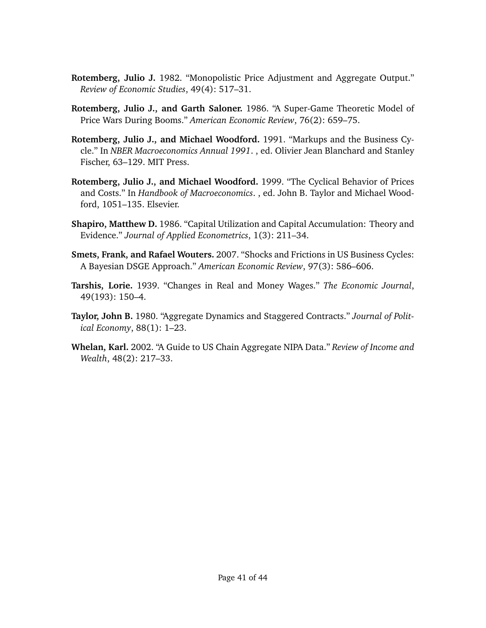- <span id="page-40-3"></span>**Rotemberg, Julio J.** 1982. "Monopolistic Price Adjustment and Aggregate Output." *Review of Economic Studies*, 49(4): 517–31.
- <span id="page-40-4"></span>**Rotemberg, Julio J., and Garth Saloner.** 1986. "A Super-Game Theoretic Model of Price Wars During Booms." *American Economic Review*, 76(2): 659–75.
- <span id="page-40-5"></span>**Rotemberg, Julio J., and Michael Woodford.** 1991. "Markups and the Business Cycle." In *NBER Macroeconomics Annual 1991*. , ed. Olivier Jean Blanchard and Stanley Fischer, 63–129. MIT Press.
- <span id="page-40-6"></span>**Rotemberg, Julio J., and Michael Woodford.** 1999. "The Cyclical Behavior of Prices and Costs." In *Handbook of Macroeconomics*. , ed. John B. Taylor and Michael Woodford, 1051–135. Elsevier.
- <span id="page-40-7"></span>**Shapiro, Matthew D.** 1986. "Capital Utilization and Capital Accumulation: Theory and Evidence." *Journal of Applied Econometrics*, 1(3): 211–34.
- <span id="page-40-0"></span>**Smets, Frank, and Rafael Wouters.** 2007. "Shocks and Frictions in US Business Cycles: A Bayesian DSGE Approach." *American Economic Review*, 97(3): 586–606.
- <span id="page-40-2"></span>**Tarshis, Lorie.** 1939. "Changes in Real and Money Wages." *The Economic Journal*, 49(193): 150–4.
- <span id="page-40-1"></span>**Taylor, John B.** 1980. "Aggregate Dynamics and Staggered Contracts." *Journal of Political Economy*, 88(1): 1–23.
- <span id="page-40-8"></span>**Whelan, Karl.** 2002. "A Guide to US Chain Aggregate NIPA Data." *Review of Income and Wealth*, 48(2): 217–33.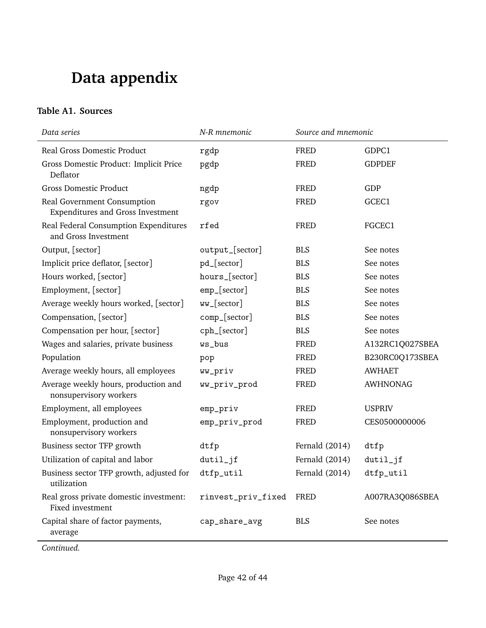# **Data appendix**

### **Table A1. Sources**

| Data series                                                             | N-R mnemonic       | Source and mnemonic |                 |
|-------------------------------------------------------------------------|--------------------|---------------------|-----------------|
| Real Gross Domestic Product                                             | rgdp               | <b>FRED</b>         | GDPC1           |
| Gross Domestic Product: Implicit Price<br>Deflator                      | pgdp               | <b>FRED</b>         | <b>GDPDEF</b>   |
| <b>Gross Domestic Product</b>                                           | ngdp               | <b>FRED</b>         | GDP             |
| Real Government Consumption<br><b>Expenditures and Gross Investment</b> | rgov               | <b>FRED</b>         | GCEC1           |
| Real Federal Consumption Expenditures<br>and Gross Investment           | rfed               | <b>FRED</b>         | FGCEC1          |
| Output, [sector]                                                        | output_[sector]    | <b>BLS</b>          | See notes       |
| Implicit price deflator, [sector]                                       | pd_[sector]        | <b>BLS</b>          | See notes       |
| Hours worked, [sector]                                                  | hours_[sector]     | <b>BLS</b>          | See notes       |
| Employment, [sector]                                                    | emp_[sector]       | <b>BLS</b>          | See notes       |
| Average weekly hours worked, [sector]                                   | ww_[sector]        | <b>BLS</b>          | See notes       |
| Compensation, [sector]                                                  | comp_[sector]      | <b>BLS</b>          | See notes       |
| Compensation per hour, [sector]                                         | cph_[sector]       | <b>BLS</b>          | See notes       |
| Wages and salaries, private business                                    | ws_bus             | <b>FRED</b>         | A132RC1Q027SBEA |
| Population                                                              | pop                | <b>FRED</b>         | B230RC0Q173SBEA |
| Average weekly hours, all employees                                     | ww_priv            | <b>FRED</b>         | <b>AWHAET</b>   |
| Average weekly hours, production and<br>nonsupervisory workers          | ww_priv_prod       | <b>FRED</b>         | <b>AWHNONAG</b> |
| Employment, all employees                                               | emp_priv           | <b>FRED</b>         | <b>USPRIV</b>   |
| Employment, production and<br>nonsupervisory workers                    | emp_priv_prod      | <b>FRED</b>         | CES0500000006   |
| Business sector TFP growth                                              | dtfp               | Fernald (2014)      | dtfp            |
| Utilization of capital and labor                                        | $dutil$ _jf        | Fernald (2014)      | $dutil$ _jf     |
| Business sector TFP growth, adjusted for<br>utilization                 | dtfp_util          | Fernald (2014)      | dtfp_util       |
| Real gross private domestic investment:<br>Fixed investment             | rinvest_priv_fixed | FRED                | A007RA3Q086SBEA |
| Capital share of factor payments,<br>average                            | cap_share_avg      | <b>BLS</b>          | See notes       |

*Continued.*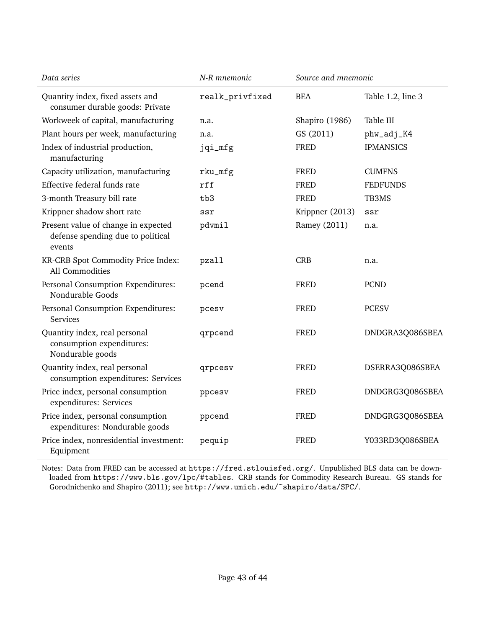| Data series                                                                        | N-R mnemonic    | Source and mnemonic |                   |
|------------------------------------------------------------------------------------|-----------------|---------------------|-------------------|
| Quantity index, fixed assets and<br>consumer durable goods: Private                | realk_privfixed | <b>BEA</b>          | Table 1.2, line 3 |
| Workweek of capital, manufacturing                                                 | n.a.            | Shapiro (1986)      | Table III         |
| Plant hours per week, manufacturing                                                | n.a.            | GS (2011)           | phw_adj_K4        |
| Index of industrial production,<br>manufacturing                                   | jqi_mfg         | <b>FRED</b>         | <b>IPMANSICS</b>  |
| Capacity utilization, manufacturing                                                | rku_mfg         | FRED                | <b>CUMFNS</b>     |
| Effective federal funds rate                                                       | rff             | <b>FRED</b>         | <b>FEDFUNDS</b>   |
| 3-month Treasury bill rate                                                         | tb3             | <b>FRED</b>         | TB3MS             |
| Krippner shadow short rate                                                         | ssr             | Krippner (2013)     | ssr               |
| Present value of change in expected<br>defense spending due to political<br>events | pdvmil          | Ramey (2011)        | n.a.              |
| KR-CRB Spot Commodity Price Index:<br>All Commodities                              | pzall           | <b>CRB</b>          | n.a.              |
| Personal Consumption Expenditures:<br>Nondurable Goods                             | pcend           | <b>FRED</b>         | <b>PCND</b>       |
| Personal Consumption Expenditures:<br><b>Services</b>                              | pcesv           | <b>FRED</b>         | <b>PCESV</b>      |
| Quantity index, real personal<br>consumption expenditures:<br>Nondurable goods     | qrpcend         | <b>FRED</b>         | DNDGRA3Q086SBEA   |
| Quantity index, real personal<br>consumption expenditures: Services                | qrpcesv         | FRED                | DSERRA3Q086SBEA   |
| Price index, personal consumption<br>expenditures: Services                        | ppcesv          | <b>FRED</b>         | DNDGRG3Q086SBEA   |
| Price index, personal consumption<br>expenditures: Nondurable goods                | ppcend          | <b>FRED</b>         | DNDGRG3Q086SBEA   |
| Price index, nonresidential investment:<br>Equipment                               | pequip          | <b>FRED</b>         | Y033RD3Q086SBEA   |

Notes: Data from FRED can be accessed at <https://fred.stlouisfed.org/>. Unpublished BLS data can be downloaded from <https://www.bls.gov/lpc/#tables>. CRB stands for Commodity Research Bureau. GS stands for [Gorodnichenko and Shapiro](#page-37-9) [\(2011\)](#page-37-9); see <http://www.umich.edu/~shapiro/data/SPC/>.